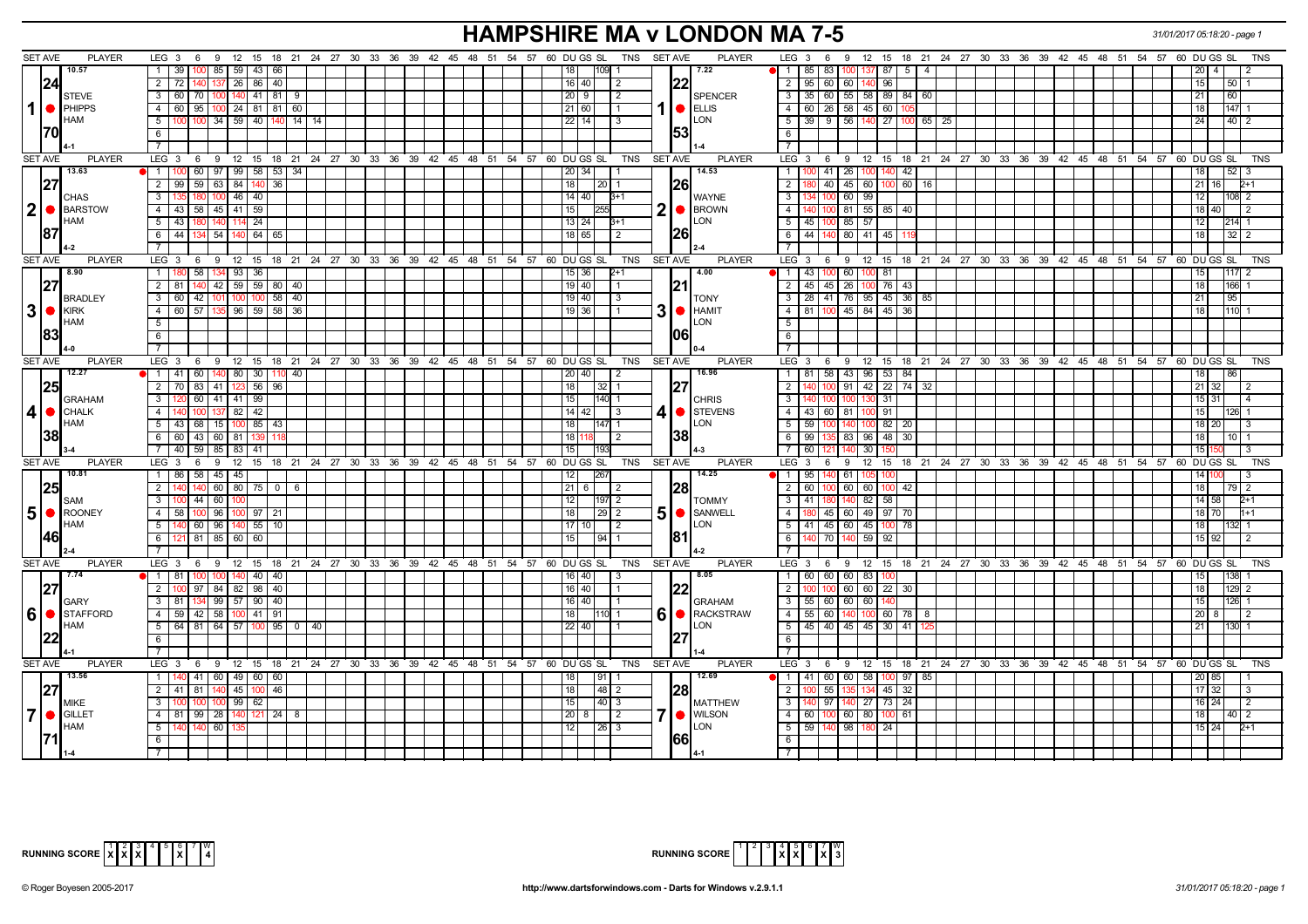# **HAMPSHIRE MA v LONDON MA 7-5** *31/01/2017 05:18:20 - page 1*

|                | <b>SET AVE</b> | <b>PLAYER</b>               | LEG $3 \quad 6$                                                      |           |  |  |  |  | 9 12 15 18 21 24 27 30 33 36 39 42 45 48 51 54 57 60 DUGS SL<br>TNS |             | <b>SET AVE</b> | <b>PLAYER</b>                         | LEG 3<br>9<br>12 15 18 21 24 27 30 33 36 39 42 45 48 51 54 57 60 DUGS SL<br>- 6     | TNS                                   |
|----------------|----------------|-----------------------------|----------------------------------------------------------------------|-----------|--|--|--|--|---------------------------------------------------------------------|-------------|----------------|---------------------------------------|-------------------------------------------------------------------------------------|---------------------------------------|
|                |                | 10.57                       | 85 59 43 66<br>$1 \overline{39}$                                     |           |  |  |  |  | $109$ 1<br>18                                                       |             |                | 7.22                                  | 85<br>83<br>$137$ 87<br>5<br>$\overline{1}$<br>$\overline{4}$<br>100                | $\overline{4}$<br>20                  |
|                | I24l           |                             | $2 \mid 72 \mid$<br>137 26 86 40                                     |           |  |  |  |  | 16 40<br>$\sqrt{2}$                                                 |             | 22             |                                       | 95   60   60  <br>$\overline{2}$<br>140 96                                          | 15 <sup>1</sup><br> 50 1              |
|                |                | <b>STEVE</b>                | 3 60 70 100 140 41 81 9                                              |           |  |  |  |  | 20   9<br>$\overline{2}$                                            |             |                | <b>SPENCER</b>                        | $\overline{\phantom{a}3}$<br>35 60 55 58 89 84 60                                   | 21<br>160 I                           |
| 1              |                | <b>I</b> PHIPPS             | 4 60 95 100 24 81 81 60                                              |           |  |  |  |  | 21 60                                                               |             |                | $\bullet$ ELLIS                       | $\overline{4}$<br>$60$   26   58   45   60                                          | 18<br>$147$ 1                         |
|                |                | <b>HAM</b>                  | 5   100   100   34   59   40   140   14   14                         |           |  |  |  |  | 22 14 <br>$\vert$ 3                                                 |             |                | <b>ILON</b>                           | $39$   9   56   140   27   100   65   25<br>5                                       | 40 2<br>24                            |
|                | 170            |                             | 6                                                                    |           |  |  |  |  |                                                                     |             | 1531           |                                       | <b>6</b>                                                                            |                                       |
|                |                |                             | $\overline{7}$                                                       |           |  |  |  |  |                                                                     |             |                |                                       |                                                                                     |                                       |
|                | <b>SET AVE</b> | <b>PLAYER</b>               | LEG 3 6 9 12 15 18 21 24 27 30 33 36 39 42 45 48 51 54 57 60 DUGS SL |           |  |  |  |  | TNS                                                                 |             | SET AVE        | <b>PLAYER</b>                         | LEG 3 6 9 12 15 18 21 24 27 30 33 36 39 42 45 48 51 54 57 60 DUGS SL                | <b>TNS</b>                            |
|                |                | 13.63                       | 1   100   60   97   99   58   53   34                                |           |  |  |  |  | 20 34                                                               |             |                | 14.53                                 | 100 41 26 100 140 42<br>$\overline{1}$                                              | 52 3<br>18                            |
|                | 27             |                             | 2 99 59 63 84 140                                                    | 36        |  |  |  |  | 18<br>20 <sub>1</sub>                                               |             | <b>126</b>     |                                       | 60 16<br>$\overline{2}$<br>40 45 60 100                                             | 21 16<br>$2+1$                        |
|                |                | <b>CHAS</b>                 | $100$ 46 40<br>$3 \mid 135$<br>180                                   |           |  |  |  |  | $14 \mid 40 \mid$<br>$3+1$                                          |             |                | <b>WAYNE</b>                          | $100$ 60 $99$<br>$\overline{\mathbf{3}}$                                            | $108$ 2<br>12                         |
| 2              |                | BARSTOW                     | 4 43 58 45 41 59                                                     |           |  |  |  |  | 15<br>255                                                           | 2           |                | <b>BROWN</b>                          | $-4$<br>100 81 55 85 40                                                             | $\overline{2}$<br>18 40 1             |
|                |                | <b>HAM</b>                  | $5 \overline{)43} \overline{)180}$<br>$114$ 24                       |           |  |  |  |  | 13 24 <br>$B+1$                                                     |             |                | <b>LON</b>                            | 5<br>45 100 85 57                                                                   | 12 <sub>1</sub><br>$214$ 1            |
|                | 187            |                             | 6 44 134 54 140 64 65                                                |           |  |  |  |  | 18 65<br>$\overline{2}$                                             |             | I26I           |                                       | 44   140   80   41   45<br>6                                                        | $32 \mid 2$<br>  18                   |
|                |                |                             | -7 I                                                                 |           |  |  |  |  |                                                                     |             |                |                                       | $\overline{7}$                                                                      |                                       |
|                | <b>SET AVE</b> | <b>PLAYER</b>               | LEG 3 6 9 12 15 18 21 24 27 30 33 36 39 42 45 48 51 54 57 60 DUGS SL |           |  |  |  |  | <b>TNS</b>                                                          | SET AVE     |                | <b>PLAYER</b>                         | LEG 3 6 9 12 15 18 21 24 27 30 33 36 39 42 45 48 51 54 57 60 DUGS SL                | <b>TNS</b>                            |
|                |                | 8.90                        | 58 134 93 36<br>1   180                                              |           |  |  |  |  | $15$ 36<br>$2+1$                                                    |             |                | 4.00                                  | 43 100 60<br>$\blacksquare$<br>$100$ 81                                             | $1117$ 2<br>  15                      |
|                |                |                             | 2   81   140   42   59   59   80   40                                |           |  |  |  |  | $19$ 40                                                             |             |                |                                       | 45 45 26 100 76<br>$\overline{2}$<br>43                                             | 18  <br><b>166 1</b>                  |
|                |                | <b>BRADLEY</b>              | $3   60   42   101   100   100   58   40$                            |           |  |  |  |  | 19 40<br>-3                                                         |             |                | <b>TONY</b>                           | $3   28   41   76   95   45   36   85$                                              | $21 \mid$<br>  95                     |
| 3              |                | <b>B</b> KIRK<br>HAM        | $4$ 60 $\overline{57}$ 135 96 59 58 36                               |           |  |  |  |  | $19$ 36<br>l 1                                                      | 3           |                | $\bigcirc$ <b>HAMIT</b><br><b>LON</b> | 4   81   100   45   84   45   36                                                    | $1110$ 1<br>18                        |
|                |                |                             | 5                                                                    |           |  |  |  |  |                                                                     |             |                |                                       | $-5$                                                                                |                                       |
|                |                |                             | $6\overline{}$<br>$7 \vert$                                          |           |  |  |  |  |                                                                     |             |                |                                       | $6\overline{6}$<br>$\overline{7}$                                                   |                                       |
|                | <b>SET AVE</b> | <b>PLAYER</b>               | LEG 3 6 9 12 15 18 21 24 27 30 33 36 39 42 45 48 51 54 57 60 DUGS SL |           |  |  |  |  |                                                                     | TNS SET AVE |                | <b>PLAYER</b>                         | LEG 3 6 9 12 15 18 21 24 27 30 33 36 39 42 45 48 51 54 57 60 DUGS SL                | <b>TNS</b>                            |
|                |                | 12.27                       | 1   41   60   140   80   30   110   40                               |           |  |  |  |  | 20 40<br>$\overline{2}$                                             |             |                | 16.96                                 | 1   81   58   43   96   53   84                                                     | 18<br>186                             |
|                |                |                             | 2   70   83   41   123   56   96                                     |           |  |  |  |  | 18<br>$32 \mid 1$                                                   |             | 27             |                                       | $\overline{2}$<br>100 91<br>$42$   22  <br>74 32                                    | 21 32<br>l 2                          |
|                |                | <b>GRAHAM</b>               | 3   120   60   41   41   99                                          |           |  |  |  |  | 15<br>140 1                                                         |             |                | <b>CHRIS</b>                          | $\mathbf{3}$<br>140 100 100 130 31                                                  | 15   31  <br>$\overline{14}$          |
| 4              |                | $\blacksquare$ CHALK        | 100 137 82 42<br>$4 \mid 140$                                        |           |  |  |  |  | $14$ 42<br>l 3                                                      | 4           |                | STEVENS                               | 4 43 60 81<br>$100$ 91                                                              | 15 <sub>1</sub><br>126 1              |
|                |                | <b>HAM</b>                  | $5 \mid 43 \mid 68 \mid 15 \mid 100 \mid 85 \mid 43$                 |           |  |  |  |  | 18<br>147 1                                                         |             |                | <b>LON</b>                            | $5^{\circ}$<br>59 100 140 100 82<br>20                                              | 18 20<br>I 3                          |
|                | 1381           |                             | 6 6 60 43 60 81 139                                                  | II 11     |  |  |  |  | 18 <br>l 2                                                          |             | <b>138</b>     |                                       | 99 135 83 96 48 30<br>6                                                             | 18  <br>l 10 I 1                      |
|                |                |                             | 7   40   59   85   83   41                                           |           |  |  |  |  | 15<br>193                                                           |             |                |                                       | 60 121 140<br>30                                                                    | 15                                    |
|                | <b>SET AVE</b> | <b>PLAYER</b>               | LEG $3 \quad 6$                                                      |           |  |  |  |  | 9 12 15 18 21 24 27 30 33 36 39 42 45 48 51 54 57 60 DUGS SL TNS    | SET AVE     |                | <b>PLAYER</b>                         | $LEG_3$<br>6 9 12 15 18 21 24 27 30 33 36 39 42 45 48 51 54 57 60 DUGS SL           | <b>TNS</b>                            |
|                |                | 10.81                       | 1 86 58 45 45                                                        |           |  |  |  |  | 267<br>  12                                                         |             |                | 14.25                                 | $\overline{1}$<br>95   140   61  <br>1051 100                                       | 14 <sup>1</sup>                       |
|                | 25             |                             | $\overline{2}$<br>$140$ 60 80 75 0 6                                 |           |  |  |  |  | 21<br>6<br>$\overline{2}$                                           |             | 28             |                                       | $\overline{2}$<br>60 100 60 60 100<br>42                                            | 18<br>79   2                          |
|                |                | <b>SAM</b>                  | $3 \ 100$<br>$44 \mid 60 \mid$<br>100                                |           |  |  |  |  | 12<br>$197$ 2                                                       |             |                | <b>TOMMY</b>                          | $\overline{\mathbf{3}}$<br>41 180 140 82 58                                         | $14 \overline{58}$<br>$2+1$           |
| 5 <sup>1</sup> |                | $\bigcap$ ROONEY            | 4 58 100 96 100 97 21                                                |           |  |  |  |  | 18                                                                  | 5           |                | SANWELL                               | 180 45 60 49 97 70<br>$-4$                                                          | $1+1$<br>18 70                        |
|                |                | <b>I</b> HAM                | 140 60 96 140 55 10<br>$5\vert$                                      |           |  |  |  |  | 17   10  <br>$\sqrt{2}$                                             |             |                | LON                                   | 41 45 60 45 100 78<br>$5 \vert$                                                     | 18 <sup>1</sup><br>132I 1             |
|                | 46             |                             | $121$ 81 85 60 60<br>6                                               |           |  |  |  |  | 15<br>$94$ 1                                                        |             | 1811           |                                       | 6<br>140 70<br>$140$ 59 92                                                          | $15 \ 92$<br>l 2                      |
|                |                |                             | $\overline{7}$                                                       |           |  |  |  |  |                                                                     |             |                |                                       |                                                                                     |                                       |
|                | SET AVE        | <b>PLAYER</b><br>7.74       | LEG 3 6 9 12 15 18 21 24 27 30 33 36 39 42 45 48 51 54 57            |           |  |  |  |  | 60 DU GS SL<br><b>TNS</b>                                           |             | <b>SET AVE</b> | <b>PLAYER</b><br>8.05                 | LEG 3 6 9 12 15 18 21 24 27 30 33 36 39 42 45 48 51 54 57 60 DUGS SL                | <b>TNS</b>                            |
|                |                |                             | 100 100 140 40 40<br>  1   81<br>$97$ 84 82 98 40<br>$2 \ 100$       |           |  |  |  |  | 16 40<br>16 40                                                      |             |                |                                       | $60$ 60 60 83 100<br>$\overline{1}$<br>$100$ $100$ 60 60 22<br>$\overline{2}$<br>30 | 138<br>15<br>129 2<br>18 <sup>1</sup> |
|                |                |                             | $3$   81   134   99   57   90   40                                   |           |  |  |  |  | 16 40                                                               |             |                |                                       | 55 60 60 60 140<br>$\overline{\mathbf{3}}$                                          | 15<br><b>126 1</b>                    |
|                |                | <b>GARY</b><br>6   STAFFORD | 4 59 42 58 100 41 91                                                 |           |  |  |  |  | 18<br>110 1                                                         | 6           |                | <b>GRAHAM</b><br>RACKSTRAW            | $55$ 60<br>$\vert 4 \vert$<br>140 100 60 78 8                                       | <b>20</b> l                           |
|                |                | <b>HAM</b>                  | $5$ 64 81 64 57 100 95 0 40                                          |           |  |  |  |  | 22 40                                                               |             |                | LON                                   | $\overline{5}$<br>45 40 45 45 30 41 2                                               | $130$ 1<br>211                        |
|                |                |                             | 6 <sup>1</sup>                                                       |           |  |  |  |  |                                                                     |             |                |                                       | $6\overline{6}$                                                                     |                                       |
|                |                |                             | 7 <sup>1</sup>                                                       |           |  |  |  |  |                                                                     |             |                |                                       | $\overline{7}$                                                                      |                                       |
|                | <b>SET AVE</b> | <b>PLAYER</b>               | LEG 3 6 9 12 15 18 21 24 27 30 33 36 39 42 45 48 51 54 57 60 DUGS SL |           |  |  |  |  | TNS                                                                 |             | <b>SET AVE</b> | <b>PLAYER</b>                         | LEG 3 6 9 12 15 18 21 24 27 30 33 36 39 42 45 48 51 54 57 60 DUGS SL                | <b>TNS</b>                            |
|                |                | 13.56                       | 41 60 49 60 60<br>1   140                                            |           |  |  |  |  | 911<br>18                                                           |             |                | 12.69                                 | 41 60 60 58 100 97 85<br>$\blacksquare$                                             | 20 85                                 |
|                |                |                             | 45<br>2   41   81                                                    | 100<br>46 |  |  |  |  | 18<br>$48 \mid 2$                                                   |             | 28             |                                       | 55<br>32<br>2<br>45                                                                 | $17 \mid 32$                          |
|                |                | <b>IMIKE</b>                | 100 100 99 62<br>3 100                                               |           |  |  |  |  | 15<br>$40 \overline{3}$                                             |             |                | <b>MATTHEW</b>                        | $\overline{\mathbf{3}}$<br>140 97<br>24<br>140   27   73                            | $16$   24  <br>$\sqrt{2}$             |
| $\overline{7}$ |                | <b>GILLET</b>               | 4 81 99 28 140 121 24 8                                              |           |  |  |  |  | 20<br>$\overline{2}$<br>8                                           |             |                | <b>O</b> IWILSON                      | $-4$<br>60 100 60 80 100<br>61                                                      | 18<br>140 12                          |
|                |                | <b>HAM</b>                  | $140$ 60<br>5                                                        |           |  |  |  |  | 12<br>26 3                                                          |             |                | <b>LON</b>                            | 5<br>59<br>140 98 180<br>24                                                         | 15 24<br>$2+1$                        |
|                |                |                             | 6                                                                    |           |  |  |  |  |                                                                     |             | <b>1661</b>    |                                       | 6                                                                                   |                                       |
|                |                |                             |                                                                      |           |  |  |  |  |                                                                     |             |                |                                       |                                                                                     |                                       |



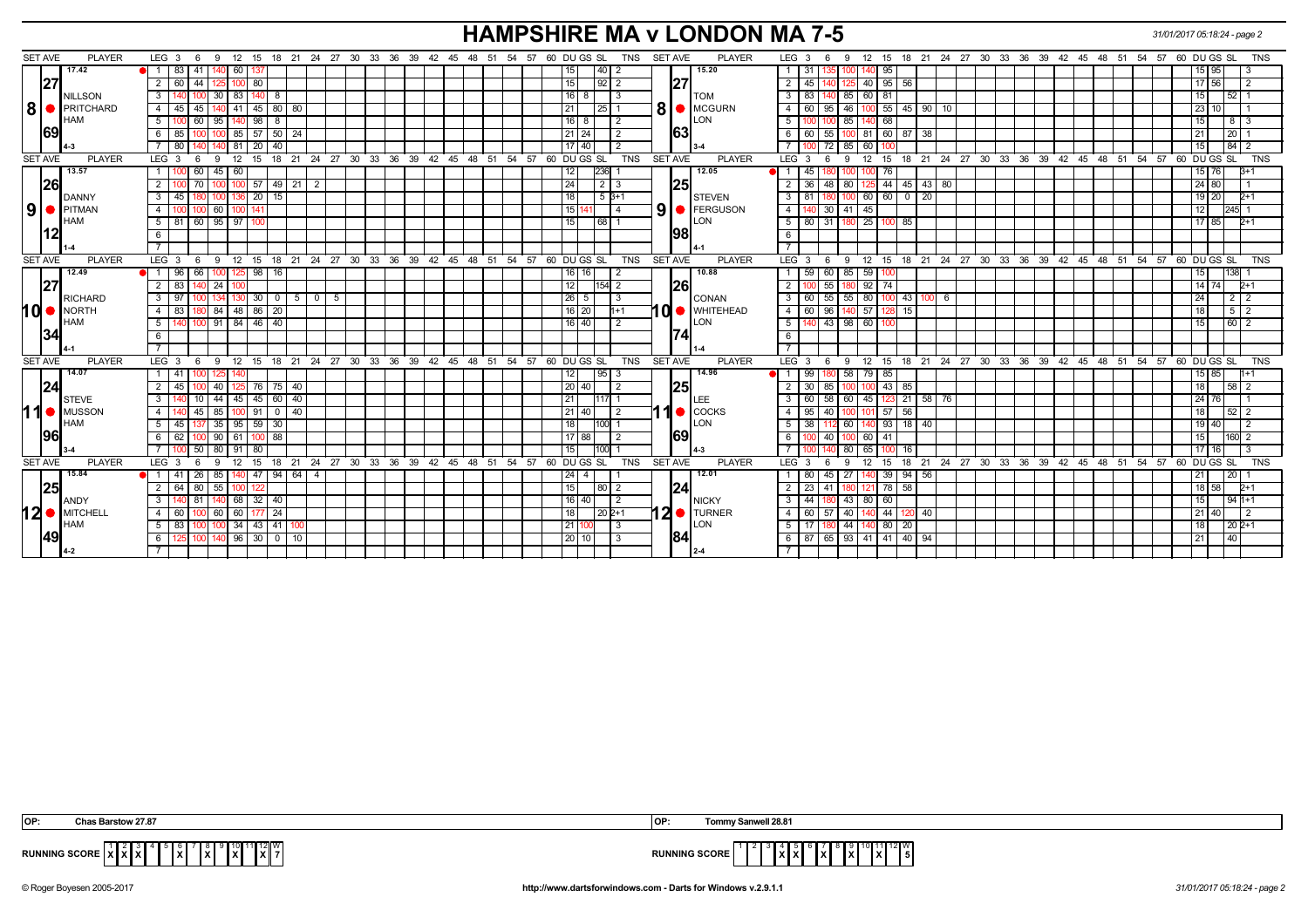# **HAMPSHIRE MA v LONDON MA 7-5** *31/01/2017 05:18:24 - page 2*

| 17.42<br>15.20<br>140 60 137<br>$\bullet$ 1 83 41<br>$40$ 2<br>135 100 140 95<br>15 95<br>15<br>1<br>31<br>l 3<br> 27<br>2   60   44   125   100   80<br>15<br>$2 \mid 45 \mid$<br>140 125 40 95 56<br>$92$ 2<br><b>127</b><br>17 56<br>$\overline{2}$<br>140 <sup>1</sup><br>30 83 140<br>$16$ 8<br>$\mathbf{3}$<br>83 140 85 60 81<br>15 <sup>1</sup><br>l 52 l 1<br>3 I<br>8<br>-3<br><b>NILLSON</b><br><b>TOM</b><br>100<br>8∣∣<br>8<br><b>PRITCHARD</b><br><b>O</b> MCGURN<br>21<br>$95 \mid 46 \mid$<br>$100$ 55 45 90 10<br>45<br>41<br>45<br>80 80<br>$\overline{4}$<br>60 l<br>4 I<br>45<br>25<br>$23$ 10<br><b>HAM</b><br><b>ILON</b><br>$5 \mid 100 \mid 60 \mid$<br>$95$ 140 98<br>8<br>$16$   8<br>$\sqrt{2}$<br>5<br>100 85 140 68<br>$813$<br>15<br>169<br>63<br>100 85 57 50 24<br>85<br>$21 \overline{)24}$<br>60   55   100   81   60   87   38<br> 20 1<br>$\overline{2}$<br>6<br>100<br>140 81 20<br>17140<br>$72$ 85<br>80 l<br> 40 <br>$\overline{2}$<br>  60 I<br> 15 <br>9 12 15 18 21 24 27 30 33 36 39 42 45 48 51 54 57 60 DUGS SL<br>12 15 18 21 24 27 30 33 36 39 42 45 48 51 54 57 60 DUGSSL<br><b>SET AVE</b><br><b>PLAYER</b><br>TNS<br><b>SET AVE</b><br><b>PLAYER</b><br>LEG <sub>3</sub><br>LEG $3 \quad 6$<br>9<br><b>TNS</b><br>- 6<br>13.57<br>12.05<br>45 60<br>236<br>60<br>12<br>$\overline{1}$<br>45<br>76<br>15 76<br> 26 <br>57<br>$\overline{24}$<br>$\overline{2}$<br>$125$ 44<br>49   21<br>$\overline{2}$<br>48 I<br>80<br>$-45$<br>$43 \mid 80$<br>24 80<br>70<br>36<br>1251<br>100 136 20 15<br>45<br>18<br>$\overline{\mathbf{3}}$<br>180 100 60 60 0<br>$5B+1$<br>81<br>20<br>19 20<br>$2+1$<br>3<br><b>STEVEN</b><br><b>DANNY</b><br>$9$ $\bullet$ PITMAN<br>9<br><b>E</b> FERGUSON<br>60 100 141<br>15 141<br>$\overline{4}$<br>30   41   45<br>12<br>245 1<br>4<br>100 100<br><b>HAM</b><br>LON<br>31   180   25   100   85<br>$\sqrt{60}$<br>95 97<br>15<br>5<br>$2+1$<br>5   81  <br>68<br>80<br>17 85<br> 12 <br>1981<br>6<br>6.<br><b>SET AVE</b><br><b>PLAYER</b><br>9 12 15 18 21 24 27 30 33 36 39 42 45 48 51<br>54 57<br>60 DU GS SL<br>TNS<br><b>SET AVE</b><br><b>PLAYER</b><br>12 15 18 21 24 27 30 33 36 39 42 45 48 51 54 57 60 DUGS SL<br><b>TNS</b><br>$LEG_36$<br>LEG 3<br>- 9<br>- 6<br>12.49<br>10.88<br>96<br>$125$ 98<br>59<br>60 <sub>1</sub><br>85<br>59<br>- 1 - I<br>66<br>16<br>1138<br>16   16<br>15 <sub>l</sub><br> 27 <br>I26l<br>180 92 74<br>$2 \mid 83$<br>24 100<br>12 <sub>1</sub><br>$154$ 2<br>$\overline{2}$<br>55<br>14 74<br>$2+1$<br>140<br>134 130 30<br>55 55 80 100 43<br>97<br>$\overline{\mathbf{0}}$<br>5<br>$26 \mid 5$<br>-3<br>3<br>$100$ 6<br>212<br><b>RICHARD</b><br>CONAN<br>60<br>24<br>10   NORTH<br>10 WHITEHEAD<br>$4 \mid 83$<br>84 48 86 20<br>$16$   20<br>$\overline{4}$<br>60 I<br>96 140 57 128 15<br>5 2<br>$1 + 1$<br>18 <sup>1</sup><br><b>HAM</b><br><b>LON</b><br>140 100 91 84 46 40<br>16 40<br>5<br>140 43 98 60 100<br> 60 2<br>.5 I<br>2<br>15<br> 34 <br>6<br>12 15 18 21 24 27 30 33 36 39 42 45 48 51 54 57 60 DUGS SL<br><b>SET AVE</b><br>9 12 15 18 21 24 27 30 33 36 39 42 45 48 51 54 57 60 DUGSSL TNS<br>SET AVE<br><b>PLAYER</b><br><b>PLAYER</b><br>LEG $3 \quad 6$<br>LEG 3<br>- 6<br>9<br><b>TNS</b><br>14.07<br>14.96<br>180 58 79 85<br>1 41 100<br>12 <sub>1</sub><br>95<br>-99 I<br>15 85<br>$\overline{1}$<br>$11+1$<br>14C<br>-3<br> 24 <br>20 40<br>$100$ 43 85<br>45<br>40   125   76   75   40<br>$\overline{2}$<br>$\overline{2}$<br>30 <sup>1</sup><br>85 I<br>18<br> 58 2<br>2 I<br><b>1251</b><br>100 I<br>  60   58   60   45   123   21   58   76<br>44 45 45 60 40<br>21<br>$\mathbf{3}$<br>24 76<br>3 I<br>$140$ 10<br><b>STEVE</b><br>LEE<br>I 1<br>11<br><b>O</b> MUSSON<br>$\bullet$ COCKS<br>100 101 57 56<br>85 100 91<br>$0$   40<br>$21$ 40<br>$\overline{4}$<br>95<br>40<br>18 <sup>1</sup><br>$\sqrt{52}$ 2<br>140<br>45<br>$\overline{2}$<br>4 I<br><b>HAM</b><br><b>ILON</b><br>35 95 59 30<br>18<br>5<br>112 60 140 93 18 40<br>$5 \mid 45$<br>100 1<br>38<br>19 40<br>137<br><u> 1961</u><br>169<br> 88 <br>6 6 6 2<br>90   61<br>17 88<br>40 100 60 41<br>$160$ 2<br>2<br>6<br>  15  <br>l 100<br>  100<br>50<br>80 91<br>80<br>15 <sub>l</sub><br>80<br>65 I<br>$100$ 16<br>$17$ 16<br>100 <sup>1</sup><br>100<br>l 3<br><b>PLAYER</b><br>18 21 24 27 30 33 36 39 42 45 48 51 54 57 60 DUGS SL<br><b>TNS</b><br><b>PLAYER</b><br>15 18 21 24 27 30 33 36 39 42 45 48 51 54 57 60 DUGS SL<br><b>SET AVE</b><br>LEG 3<br>12<br>15<br><b>SET AVE</b><br>LEG <sub>3</sub><br>12<br><b>TNS</b><br>9<br>9<br>6<br>- 6<br>15.84<br>85 140 47 94 64 4<br>$41$ 26<br>12.01<br>$45 \mid 27$<br>140 39 94 56<br>$ 20 $ 1<br>$\blacksquare$ 1 1<br>$24 \mid 4$<br>.80<br>21<br> 25 <br>78 58<br>64<br>80<br>55 100<br>15<br>$\overline{2}$<br>23<br>18 58<br>$2+1$<br>2 I<br>80   2<br>124<br>41<br>$12^{\circ}$<br>140 81<br>140 68<br>$\sqrt{32}$<br>$16$ 40<br>$\overline{\mathbf{3}}$<br>44<br>180 43 80 60<br>15<br>$194 + 1$<br>3 <sup>1</sup><br> 40 <br>$\overline{2}$<br><b>NICKY</b><br>ANDY<br>24<br>60 57 40<br>$140 \mid 44$<br>4   60   100<br>60 60 177<br>18<br>$202+1$<br>$\overline{4}$<br>120 40<br>  21   40  <br>12 | $12$ $\bullet$ MITCHELL<br>$2 \bullet$ TURNER<br>LON<br><b>HAM</b><br>$5 \mid 83 \mid$<br>100 34 43 41 100<br>21 100<br>5<br>180 44<br>$140$ 80 20<br>$202+1$<br>-3<br>17 I<br>  18  <br>l 100<br>149<br>184<br>140 96 30 0 10<br>  87   65   93   41   41   40   94<br> 40 <br>125 100<br>20 10<br>6<br>l 3<br> 21 <br>6 I | <b>SET AVE</b> | <b>PLAYER</b> | LEG $3 \quad 6$<br>9 12 15 18 21 24 27 30 33 36 39 42 45 48 51 54 57 60 DU GS SL |  | TNS<br>SET AVE | <b>PLAYER</b> | LEG 3<br>-9<br>- 6 | 12 15 18 21 24 27 30 33 36 39 42 45 48 51 54 57 60 DU GS SL | <b>TNS</b> |
|------------------------------------------------------------------------------------------------------------------------------------------------------------------------------------------------------------------------------------------------------------------------------------------------------------------------------------------------------------------------------------------------------------------------------------------------------------------------------------------------------------------------------------------------------------------------------------------------------------------------------------------------------------------------------------------------------------------------------------------------------------------------------------------------------------------------------------------------------------------------------------------------------------------------------------------------------------------------------------------------------------------------------------------------------------------------------------------------------------------------------------------------------------------------------------------------------------------------------------------------------------------------------------------------------------------------------------------------------------------------------------------------------------------------------------------------------------------------------------------------------------------------------------------------------------------------------------------------------------------------------------------------------------------------------------------------------------------------------------------------------------------------------------------------------------------------------------------------------------------------------------------------------------------------------------------------------------------------------------------------------------------------------------------------------------------------------------------------------------------------------------------------------------------------------------------------------------------------------------------------------------------------------------------------------------------------------------------------------------------------------------------------------------------------------------------------------------------------------------------------------------------------------------------------------------------------------------------------------------------------------------------------------------------------------------------------------------------------------------------------------------------------------------------------------------------------------------------------------------------------------------------------------------------------------------------------------------------------------------------------------------------------------------------------------------------------------------------------------------------------------------------------------------------------------------------------------------------------------------------------------------------------------------------------------------------------------------------------------------------------------------------------------------------------------------------------------------------------------------------------------------------------------------------------------------------------------------------------------------------------------------------------------------------------------------------------------------------------------------------------------------------------------------------------------------------------------------------------------------------------------------------------------------------------------------------------------------------------------------------------------------------------------------------------------------------------------------------------------------------------------------------------------------------------------------------------------------------------------------------------------------------------------------------------------------------------------------------------------------------------------------------------------------------------------------------------------------------------------------------------------------------------------------------------------------------------------------------------------------------------------------------------------------------------------------------------------------------------------------------------------------------------------------------------------------------------------------------------------------------------------------------------------------------------------------------------------------------------------------------------------------------------------------------------------------------------------------------------------------------------------------------------------------------------------------------------------------|-----------------------------------------------------------------------------------------------------------------------------------------------------------------------------------------------------------------------------------------------------------------------------------------------------------------------------|----------------|---------------|----------------------------------------------------------------------------------|--|----------------|---------------|--------------------|-------------------------------------------------------------|------------|
|                                                                                                                                                                                                                                                                                                                                                                                                                                                                                                                                                                                                                                                                                                                                                                                                                                                                                                                                                                                                                                                                                                                                                                                                                                                                                                                                                                                                                                                                                                                                                                                                                                                                                                                                                                                                                                                                                                                                                                                                                                                                                                                                                                                                                                                                                                                                                                                                                                                                                                                                                                                                                                                                                                                                                                                                                                                                                                                                                                                                                                                                                                                                                                                                                                                                                                                                                                                                                                                                                                                                                                                                                                                                                                                                                                                                                                                                                                                                                                                                                                                                                                                                                                                                                                                                                                                                                                                                                                                                                                                                                                                                                                                                                                                                                                                                                                                                                                                                                                                                                                                                                                                                                                                                            |                                                                                                                                                                                                                                                                                                                             |                |               |                                                                                  |  |                |               |                    |                                                             |            |
|                                                                                                                                                                                                                                                                                                                                                                                                                                                                                                                                                                                                                                                                                                                                                                                                                                                                                                                                                                                                                                                                                                                                                                                                                                                                                                                                                                                                                                                                                                                                                                                                                                                                                                                                                                                                                                                                                                                                                                                                                                                                                                                                                                                                                                                                                                                                                                                                                                                                                                                                                                                                                                                                                                                                                                                                                                                                                                                                                                                                                                                                                                                                                                                                                                                                                                                                                                                                                                                                                                                                                                                                                                                                                                                                                                                                                                                                                                                                                                                                                                                                                                                                                                                                                                                                                                                                                                                                                                                                                                                                                                                                                                                                                                                                                                                                                                                                                                                                                                                                                                                                                                                                                                                                            |                                                                                                                                                                                                                                                                                                                             |                |               |                                                                                  |  |                |               |                    |                                                             |            |
|                                                                                                                                                                                                                                                                                                                                                                                                                                                                                                                                                                                                                                                                                                                                                                                                                                                                                                                                                                                                                                                                                                                                                                                                                                                                                                                                                                                                                                                                                                                                                                                                                                                                                                                                                                                                                                                                                                                                                                                                                                                                                                                                                                                                                                                                                                                                                                                                                                                                                                                                                                                                                                                                                                                                                                                                                                                                                                                                                                                                                                                                                                                                                                                                                                                                                                                                                                                                                                                                                                                                                                                                                                                                                                                                                                                                                                                                                                                                                                                                                                                                                                                                                                                                                                                                                                                                                                                                                                                                                                                                                                                                                                                                                                                                                                                                                                                                                                                                                                                                                                                                                                                                                                                                            |                                                                                                                                                                                                                                                                                                                             |                |               |                                                                                  |  |                |               |                    |                                                             |            |
|                                                                                                                                                                                                                                                                                                                                                                                                                                                                                                                                                                                                                                                                                                                                                                                                                                                                                                                                                                                                                                                                                                                                                                                                                                                                                                                                                                                                                                                                                                                                                                                                                                                                                                                                                                                                                                                                                                                                                                                                                                                                                                                                                                                                                                                                                                                                                                                                                                                                                                                                                                                                                                                                                                                                                                                                                                                                                                                                                                                                                                                                                                                                                                                                                                                                                                                                                                                                                                                                                                                                                                                                                                                                                                                                                                                                                                                                                                                                                                                                                                                                                                                                                                                                                                                                                                                                                                                                                                                                                                                                                                                                                                                                                                                                                                                                                                                                                                                                                                                                                                                                                                                                                                                                            |                                                                                                                                                                                                                                                                                                                             |                |               |                                                                                  |  |                |               |                    |                                                             |            |
|                                                                                                                                                                                                                                                                                                                                                                                                                                                                                                                                                                                                                                                                                                                                                                                                                                                                                                                                                                                                                                                                                                                                                                                                                                                                                                                                                                                                                                                                                                                                                                                                                                                                                                                                                                                                                                                                                                                                                                                                                                                                                                                                                                                                                                                                                                                                                                                                                                                                                                                                                                                                                                                                                                                                                                                                                                                                                                                                                                                                                                                                                                                                                                                                                                                                                                                                                                                                                                                                                                                                                                                                                                                                                                                                                                                                                                                                                                                                                                                                                                                                                                                                                                                                                                                                                                                                                                                                                                                                                                                                                                                                                                                                                                                                                                                                                                                                                                                                                                                                                                                                                                                                                                                                            |                                                                                                                                                                                                                                                                                                                             |                |               |                                                                                  |  |                |               |                    |                                                             |            |
|                                                                                                                                                                                                                                                                                                                                                                                                                                                                                                                                                                                                                                                                                                                                                                                                                                                                                                                                                                                                                                                                                                                                                                                                                                                                                                                                                                                                                                                                                                                                                                                                                                                                                                                                                                                                                                                                                                                                                                                                                                                                                                                                                                                                                                                                                                                                                                                                                                                                                                                                                                                                                                                                                                                                                                                                                                                                                                                                                                                                                                                                                                                                                                                                                                                                                                                                                                                                                                                                                                                                                                                                                                                                                                                                                                                                                                                                                                                                                                                                                                                                                                                                                                                                                                                                                                                                                                                                                                                                                                                                                                                                                                                                                                                                                                                                                                                                                                                                                                                                                                                                                                                                                                                                            |                                                                                                                                                                                                                                                                                                                             |                |               |                                                                                  |  |                |               |                    |                                                             |            |
|                                                                                                                                                                                                                                                                                                                                                                                                                                                                                                                                                                                                                                                                                                                                                                                                                                                                                                                                                                                                                                                                                                                                                                                                                                                                                                                                                                                                                                                                                                                                                                                                                                                                                                                                                                                                                                                                                                                                                                                                                                                                                                                                                                                                                                                                                                                                                                                                                                                                                                                                                                                                                                                                                                                                                                                                                                                                                                                                                                                                                                                                                                                                                                                                                                                                                                                                                                                                                                                                                                                                                                                                                                                                                                                                                                                                                                                                                                                                                                                                                                                                                                                                                                                                                                                                                                                                                                                                                                                                                                                                                                                                                                                                                                                                                                                                                                                                                                                                                                                                                                                                                                                                                                                                            |                                                                                                                                                                                                                                                                                                                             |                |               |                                                                                  |  |                |               |                    |                                                             |            |
|                                                                                                                                                                                                                                                                                                                                                                                                                                                                                                                                                                                                                                                                                                                                                                                                                                                                                                                                                                                                                                                                                                                                                                                                                                                                                                                                                                                                                                                                                                                                                                                                                                                                                                                                                                                                                                                                                                                                                                                                                                                                                                                                                                                                                                                                                                                                                                                                                                                                                                                                                                                                                                                                                                                                                                                                                                                                                                                                                                                                                                                                                                                                                                                                                                                                                                                                                                                                                                                                                                                                                                                                                                                                                                                                                                                                                                                                                                                                                                                                                                                                                                                                                                                                                                                                                                                                                                                                                                                                                                                                                                                                                                                                                                                                                                                                                                                                                                                                                                                                                                                                                                                                                                                                            |                                                                                                                                                                                                                                                                                                                             |                |               |                                                                                  |  |                |               |                    |                                                             |            |
|                                                                                                                                                                                                                                                                                                                                                                                                                                                                                                                                                                                                                                                                                                                                                                                                                                                                                                                                                                                                                                                                                                                                                                                                                                                                                                                                                                                                                                                                                                                                                                                                                                                                                                                                                                                                                                                                                                                                                                                                                                                                                                                                                                                                                                                                                                                                                                                                                                                                                                                                                                                                                                                                                                                                                                                                                                                                                                                                                                                                                                                                                                                                                                                                                                                                                                                                                                                                                                                                                                                                                                                                                                                                                                                                                                                                                                                                                                                                                                                                                                                                                                                                                                                                                                                                                                                                                                                                                                                                                                                                                                                                                                                                                                                                                                                                                                                                                                                                                                                                                                                                                                                                                                                                            |                                                                                                                                                                                                                                                                                                                             |                |               |                                                                                  |  |                |               |                    |                                                             |            |
|                                                                                                                                                                                                                                                                                                                                                                                                                                                                                                                                                                                                                                                                                                                                                                                                                                                                                                                                                                                                                                                                                                                                                                                                                                                                                                                                                                                                                                                                                                                                                                                                                                                                                                                                                                                                                                                                                                                                                                                                                                                                                                                                                                                                                                                                                                                                                                                                                                                                                                                                                                                                                                                                                                                                                                                                                                                                                                                                                                                                                                                                                                                                                                                                                                                                                                                                                                                                                                                                                                                                                                                                                                                                                                                                                                                                                                                                                                                                                                                                                                                                                                                                                                                                                                                                                                                                                                                                                                                                                                                                                                                                                                                                                                                                                                                                                                                                                                                                                                                                                                                                                                                                                                                                            |                                                                                                                                                                                                                                                                                                                             |                |               |                                                                                  |  |                |               |                    |                                                             |            |
|                                                                                                                                                                                                                                                                                                                                                                                                                                                                                                                                                                                                                                                                                                                                                                                                                                                                                                                                                                                                                                                                                                                                                                                                                                                                                                                                                                                                                                                                                                                                                                                                                                                                                                                                                                                                                                                                                                                                                                                                                                                                                                                                                                                                                                                                                                                                                                                                                                                                                                                                                                                                                                                                                                                                                                                                                                                                                                                                                                                                                                                                                                                                                                                                                                                                                                                                                                                                                                                                                                                                                                                                                                                                                                                                                                                                                                                                                                                                                                                                                                                                                                                                                                                                                                                                                                                                                                                                                                                                                                                                                                                                                                                                                                                                                                                                                                                                                                                                                                                                                                                                                                                                                                                                            |                                                                                                                                                                                                                                                                                                                             |                |               |                                                                                  |  |                |               |                    |                                                             |            |
|                                                                                                                                                                                                                                                                                                                                                                                                                                                                                                                                                                                                                                                                                                                                                                                                                                                                                                                                                                                                                                                                                                                                                                                                                                                                                                                                                                                                                                                                                                                                                                                                                                                                                                                                                                                                                                                                                                                                                                                                                                                                                                                                                                                                                                                                                                                                                                                                                                                                                                                                                                                                                                                                                                                                                                                                                                                                                                                                                                                                                                                                                                                                                                                                                                                                                                                                                                                                                                                                                                                                                                                                                                                                                                                                                                                                                                                                                                                                                                                                                                                                                                                                                                                                                                                                                                                                                                                                                                                                                                                                                                                                                                                                                                                                                                                                                                                                                                                                                                                                                                                                                                                                                                                                            |                                                                                                                                                                                                                                                                                                                             |                |               |                                                                                  |  |                |               |                    |                                                             |            |
|                                                                                                                                                                                                                                                                                                                                                                                                                                                                                                                                                                                                                                                                                                                                                                                                                                                                                                                                                                                                                                                                                                                                                                                                                                                                                                                                                                                                                                                                                                                                                                                                                                                                                                                                                                                                                                                                                                                                                                                                                                                                                                                                                                                                                                                                                                                                                                                                                                                                                                                                                                                                                                                                                                                                                                                                                                                                                                                                                                                                                                                                                                                                                                                                                                                                                                                                                                                                                                                                                                                                                                                                                                                                                                                                                                                                                                                                                                                                                                                                                                                                                                                                                                                                                                                                                                                                                                                                                                                                                                                                                                                                                                                                                                                                                                                                                                                                                                                                                                                                                                                                                                                                                                                                            |                                                                                                                                                                                                                                                                                                                             |                |               |                                                                                  |  |                |               |                    |                                                             |            |
|                                                                                                                                                                                                                                                                                                                                                                                                                                                                                                                                                                                                                                                                                                                                                                                                                                                                                                                                                                                                                                                                                                                                                                                                                                                                                                                                                                                                                                                                                                                                                                                                                                                                                                                                                                                                                                                                                                                                                                                                                                                                                                                                                                                                                                                                                                                                                                                                                                                                                                                                                                                                                                                                                                                                                                                                                                                                                                                                                                                                                                                                                                                                                                                                                                                                                                                                                                                                                                                                                                                                                                                                                                                                                                                                                                                                                                                                                                                                                                                                                                                                                                                                                                                                                                                                                                                                                                                                                                                                                                                                                                                                                                                                                                                                                                                                                                                                                                                                                                                                                                                                                                                                                                                                            |                                                                                                                                                                                                                                                                                                                             |                |               |                                                                                  |  |                |               |                    |                                                             |            |
|                                                                                                                                                                                                                                                                                                                                                                                                                                                                                                                                                                                                                                                                                                                                                                                                                                                                                                                                                                                                                                                                                                                                                                                                                                                                                                                                                                                                                                                                                                                                                                                                                                                                                                                                                                                                                                                                                                                                                                                                                                                                                                                                                                                                                                                                                                                                                                                                                                                                                                                                                                                                                                                                                                                                                                                                                                                                                                                                                                                                                                                                                                                                                                                                                                                                                                                                                                                                                                                                                                                                                                                                                                                                                                                                                                                                                                                                                                                                                                                                                                                                                                                                                                                                                                                                                                                                                                                                                                                                                                                                                                                                                                                                                                                                                                                                                                                                                                                                                                                                                                                                                                                                                                                                            |                                                                                                                                                                                                                                                                                                                             |                |               |                                                                                  |  |                |               |                    |                                                             |            |
|                                                                                                                                                                                                                                                                                                                                                                                                                                                                                                                                                                                                                                                                                                                                                                                                                                                                                                                                                                                                                                                                                                                                                                                                                                                                                                                                                                                                                                                                                                                                                                                                                                                                                                                                                                                                                                                                                                                                                                                                                                                                                                                                                                                                                                                                                                                                                                                                                                                                                                                                                                                                                                                                                                                                                                                                                                                                                                                                                                                                                                                                                                                                                                                                                                                                                                                                                                                                                                                                                                                                                                                                                                                                                                                                                                                                                                                                                                                                                                                                                                                                                                                                                                                                                                                                                                                                                                                                                                                                                                                                                                                                                                                                                                                                                                                                                                                                                                                                                                                                                                                                                                                                                                                                            |                                                                                                                                                                                                                                                                                                                             |                |               |                                                                                  |  |                |               |                    |                                                             |            |
|                                                                                                                                                                                                                                                                                                                                                                                                                                                                                                                                                                                                                                                                                                                                                                                                                                                                                                                                                                                                                                                                                                                                                                                                                                                                                                                                                                                                                                                                                                                                                                                                                                                                                                                                                                                                                                                                                                                                                                                                                                                                                                                                                                                                                                                                                                                                                                                                                                                                                                                                                                                                                                                                                                                                                                                                                                                                                                                                                                                                                                                                                                                                                                                                                                                                                                                                                                                                                                                                                                                                                                                                                                                                                                                                                                                                                                                                                                                                                                                                                                                                                                                                                                                                                                                                                                                                                                                                                                                                                                                                                                                                                                                                                                                                                                                                                                                                                                                                                                                                                                                                                                                                                                                                            |                                                                                                                                                                                                                                                                                                                             |                |               |                                                                                  |  |                |               |                    |                                                             |            |
|                                                                                                                                                                                                                                                                                                                                                                                                                                                                                                                                                                                                                                                                                                                                                                                                                                                                                                                                                                                                                                                                                                                                                                                                                                                                                                                                                                                                                                                                                                                                                                                                                                                                                                                                                                                                                                                                                                                                                                                                                                                                                                                                                                                                                                                                                                                                                                                                                                                                                                                                                                                                                                                                                                                                                                                                                                                                                                                                                                                                                                                                                                                                                                                                                                                                                                                                                                                                                                                                                                                                                                                                                                                                                                                                                                                                                                                                                                                                                                                                                                                                                                                                                                                                                                                                                                                                                                                                                                                                                                                                                                                                                                                                                                                                                                                                                                                                                                                                                                                                                                                                                                                                                                                                            |                                                                                                                                                                                                                                                                                                                             |                |               |                                                                                  |  |                |               |                    |                                                             |            |
|                                                                                                                                                                                                                                                                                                                                                                                                                                                                                                                                                                                                                                                                                                                                                                                                                                                                                                                                                                                                                                                                                                                                                                                                                                                                                                                                                                                                                                                                                                                                                                                                                                                                                                                                                                                                                                                                                                                                                                                                                                                                                                                                                                                                                                                                                                                                                                                                                                                                                                                                                                                                                                                                                                                                                                                                                                                                                                                                                                                                                                                                                                                                                                                                                                                                                                                                                                                                                                                                                                                                                                                                                                                                                                                                                                                                                                                                                                                                                                                                                                                                                                                                                                                                                                                                                                                                                                                                                                                                                                                                                                                                                                                                                                                                                                                                                                                                                                                                                                                                                                                                                                                                                                                                            |                                                                                                                                                                                                                                                                                                                             |                |               |                                                                                  |  |                |               |                    |                                                             |            |
|                                                                                                                                                                                                                                                                                                                                                                                                                                                                                                                                                                                                                                                                                                                                                                                                                                                                                                                                                                                                                                                                                                                                                                                                                                                                                                                                                                                                                                                                                                                                                                                                                                                                                                                                                                                                                                                                                                                                                                                                                                                                                                                                                                                                                                                                                                                                                                                                                                                                                                                                                                                                                                                                                                                                                                                                                                                                                                                                                                                                                                                                                                                                                                                                                                                                                                                                                                                                                                                                                                                                                                                                                                                                                                                                                                                                                                                                                                                                                                                                                                                                                                                                                                                                                                                                                                                                                                                                                                                                                                                                                                                                                                                                                                                                                                                                                                                                                                                                                                                                                                                                                                                                                                                                            |                                                                                                                                                                                                                                                                                                                             |                |               |                                                                                  |  |                |               |                    |                                                             |            |
|                                                                                                                                                                                                                                                                                                                                                                                                                                                                                                                                                                                                                                                                                                                                                                                                                                                                                                                                                                                                                                                                                                                                                                                                                                                                                                                                                                                                                                                                                                                                                                                                                                                                                                                                                                                                                                                                                                                                                                                                                                                                                                                                                                                                                                                                                                                                                                                                                                                                                                                                                                                                                                                                                                                                                                                                                                                                                                                                                                                                                                                                                                                                                                                                                                                                                                                                                                                                                                                                                                                                                                                                                                                                                                                                                                                                                                                                                                                                                                                                                                                                                                                                                                                                                                                                                                                                                                                                                                                                                                                                                                                                                                                                                                                                                                                                                                                                                                                                                                                                                                                                                                                                                                                                            |                                                                                                                                                                                                                                                                                                                             |                |               |                                                                                  |  |                |               |                    |                                                             |            |
|                                                                                                                                                                                                                                                                                                                                                                                                                                                                                                                                                                                                                                                                                                                                                                                                                                                                                                                                                                                                                                                                                                                                                                                                                                                                                                                                                                                                                                                                                                                                                                                                                                                                                                                                                                                                                                                                                                                                                                                                                                                                                                                                                                                                                                                                                                                                                                                                                                                                                                                                                                                                                                                                                                                                                                                                                                                                                                                                                                                                                                                                                                                                                                                                                                                                                                                                                                                                                                                                                                                                                                                                                                                                                                                                                                                                                                                                                                                                                                                                                                                                                                                                                                                                                                                                                                                                                                                                                                                                                                                                                                                                                                                                                                                                                                                                                                                                                                                                                                                                                                                                                                                                                                                                            |                                                                                                                                                                                                                                                                                                                             |                |               |                                                                                  |  |                |               |                    |                                                             |            |
|                                                                                                                                                                                                                                                                                                                                                                                                                                                                                                                                                                                                                                                                                                                                                                                                                                                                                                                                                                                                                                                                                                                                                                                                                                                                                                                                                                                                                                                                                                                                                                                                                                                                                                                                                                                                                                                                                                                                                                                                                                                                                                                                                                                                                                                                                                                                                                                                                                                                                                                                                                                                                                                                                                                                                                                                                                                                                                                                                                                                                                                                                                                                                                                                                                                                                                                                                                                                                                                                                                                                                                                                                                                                                                                                                                                                                                                                                                                                                                                                                                                                                                                                                                                                                                                                                                                                                                                                                                                                                                                                                                                                                                                                                                                                                                                                                                                                                                                                                                                                                                                                                                                                                                                                            |                                                                                                                                                                                                                                                                                                                             |                |               |                                                                                  |  |                |               |                    |                                                             |            |
|                                                                                                                                                                                                                                                                                                                                                                                                                                                                                                                                                                                                                                                                                                                                                                                                                                                                                                                                                                                                                                                                                                                                                                                                                                                                                                                                                                                                                                                                                                                                                                                                                                                                                                                                                                                                                                                                                                                                                                                                                                                                                                                                                                                                                                                                                                                                                                                                                                                                                                                                                                                                                                                                                                                                                                                                                                                                                                                                                                                                                                                                                                                                                                                                                                                                                                                                                                                                                                                                                                                                                                                                                                                                                                                                                                                                                                                                                                                                                                                                                                                                                                                                                                                                                                                                                                                                                                                                                                                                                                                                                                                                                                                                                                                                                                                                                                                                                                                                                                                                                                                                                                                                                                                                            |                                                                                                                                                                                                                                                                                                                             |                |               |                                                                                  |  |                |               |                    |                                                             |            |
|                                                                                                                                                                                                                                                                                                                                                                                                                                                                                                                                                                                                                                                                                                                                                                                                                                                                                                                                                                                                                                                                                                                                                                                                                                                                                                                                                                                                                                                                                                                                                                                                                                                                                                                                                                                                                                                                                                                                                                                                                                                                                                                                                                                                                                                                                                                                                                                                                                                                                                                                                                                                                                                                                                                                                                                                                                                                                                                                                                                                                                                                                                                                                                                                                                                                                                                                                                                                                                                                                                                                                                                                                                                                                                                                                                                                                                                                                                                                                                                                                                                                                                                                                                                                                                                                                                                                                                                                                                                                                                                                                                                                                                                                                                                                                                                                                                                                                                                                                                                                                                                                                                                                                                                                            |                                                                                                                                                                                                                                                                                                                             |                |               |                                                                                  |  |                |               |                    |                                                             |            |
|                                                                                                                                                                                                                                                                                                                                                                                                                                                                                                                                                                                                                                                                                                                                                                                                                                                                                                                                                                                                                                                                                                                                                                                                                                                                                                                                                                                                                                                                                                                                                                                                                                                                                                                                                                                                                                                                                                                                                                                                                                                                                                                                                                                                                                                                                                                                                                                                                                                                                                                                                                                                                                                                                                                                                                                                                                                                                                                                                                                                                                                                                                                                                                                                                                                                                                                                                                                                                                                                                                                                                                                                                                                                                                                                                                                                                                                                                                                                                                                                                                                                                                                                                                                                                                                                                                                                                                                                                                                                                                                                                                                                                                                                                                                                                                                                                                                                                                                                                                                                                                                                                                                                                                                                            |                                                                                                                                                                                                                                                                                                                             |                |               |                                                                                  |  |                |               |                    |                                                             |            |
|                                                                                                                                                                                                                                                                                                                                                                                                                                                                                                                                                                                                                                                                                                                                                                                                                                                                                                                                                                                                                                                                                                                                                                                                                                                                                                                                                                                                                                                                                                                                                                                                                                                                                                                                                                                                                                                                                                                                                                                                                                                                                                                                                                                                                                                                                                                                                                                                                                                                                                                                                                                                                                                                                                                                                                                                                                                                                                                                                                                                                                                                                                                                                                                                                                                                                                                                                                                                                                                                                                                                                                                                                                                                                                                                                                                                                                                                                                                                                                                                                                                                                                                                                                                                                                                                                                                                                                                                                                                                                                                                                                                                                                                                                                                                                                                                                                                                                                                                                                                                                                                                                                                                                                                                            |                                                                                                                                                                                                                                                                                                                             |                |               |                                                                                  |  |                |               |                    |                                                             |            |
|                                                                                                                                                                                                                                                                                                                                                                                                                                                                                                                                                                                                                                                                                                                                                                                                                                                                                                                                                                                                                                                                                                                                                                                                                                                                                                                                                                                                                                                                                                                                                                                                                                                                                                                                                                                                                                                                                                                                                                                                                                                                                                                                                                                                                                                                                                                                                                                                                                                                                                                                                                                                                                                                                                                                                                                                                                                                                                                                                                                                                                                                                                                                                                                                                                                                                                                                                                                                                                                                                                                                                                                                                                                                                                                                                                                                                                                                                                                                                                                                                                                                                                                                                                                                                                                                                                                                                                                                                                                                                                                                                                                                                                                                                                                                                                                                                                                                                                                                                                                                                                                                                                                                                                                                            |                                                                                                                                                                                                                                                                                                                             |                |               |                                                                                  |  |                |               |                    |                                                             |            |
|                                                                                                                                                                                                                                                                                                                                                                                                                                                                                                                                                                                                                                                                                                                                                                                                                                                                                                                                                                                                                                                                                                                                                                                                                                                                                                                                                                                                                                                                                                                                                                                                                                                                                                                                                                                                                                                                                                                                                                                                                                                                                                                                                                                                                                                                                                                                                                                                                                                                                                                                                                                                                                                                                                                                                                                                                                                                                                                                                                                                                                                                                                                                                                                                                                                                                                                                                                                                                                                                                                                                                                                                                                                                                                                                                                                                                                                                                                                                                                                                                                                                                                                                                                                                                                                                                                                                                                                                                                                                                                                                                                                                                                                                                                                                                                                                                                                                                                                                                                                                                                                                                                                                                                                                            |                                                                                                                                                                                                                                                                                                                             |                |               |                                                                                  |  |                |               |                    |                                                             |            |
|                                                                                                                                                                                                                                                                                                                                                                                                                                                                                                                                                                                                                                                                                                                                                                                                                                                                                                                                                                                                                                                                                                                                                                                                                                                                                                                                                                                                                                                                                                                                                                                                                                                                                                                                                                                                                                                                                                                                                                                                                                                                                                                                                                                                                                                                                                                                                                                                                                                                                                                                                                                                                                                                                                                                                                                                                                                                                                                                                                                                                                                                                                                                                                                                                                                                                                                                                                                                                                                                                                                                                                                                                                                                                                                                                                                                                                                                                                                                                                                                                                                                                                                                                                                                                                                                                                                                                                                                                                                                                                                                                                                                                                                                                                                                                                                                                                                                                                                                                                                                                                                                                                                                                                                                            |                                                                                                                                                                                                                                                                                                                             |                |               |                                                                                  |  |                |               |                    |                                                             |            |
|                                                                                                                                                                                                                                                                                                                                                                                                                                                                                                                                                                                                                                                                                                                                                                                                                                                                                                                                                                                                                                                                                                                                                                                                                                                                                                                                                                                                                                                                                                                                                                                                                                                                                                                                                                                                                                                                                                                                                                                                                                                                                                                                                                                                                                                                                                                                                                                                                                                                                                                                                                                                                                                                                                                                                                                                                                                                                                                                                                                                                                                                                                                                                                                                                                                                                                                                                                                                                                                                                                                                                                                                                                                                                                                                                                                                                                                                                                                                                                                                                                                                                                                                                                                                                                                                                                                                                                                                                                                                                                                                                                                                                                                                                                                                                                                                                                                                                                                                                                                                                                                                                                                                                                                                            |                                                                                                                                                                                                                                                                                                                             |                |               |                                                                                  |  |                |               |                    |                                                             |            |
|                                                                                                                                                                                                                                                                                                                                                                                                                                                                                                                                                                                                                                                                                                                                                                                                                                                                                                                                                                                                                                                                                                                                                                                                                                                                                                                                                                                                                                                                                                                                                                                                                                                                                                                                                                                                                                                                                                                                                                                                                                                                                                                                                                                                                                                                                                                                                                                                                                                                                                                                                                                                                                                                                                                                                                                                                                                                                                                                                                                                                                                                                                                                                                                                                                                                                                                                                                                                                                                                                                                                                                                                                                                                                                                                                                                                                                                                                                                                                                                                                                                                                                                                                                                                                                                                                                                                                                                                                                                                                                                                                                                                                                                                                                                                                                                                                                                                                                                                                                                                                                                                                                                                                                                                            |                                                                                                                                                                                                                                                                                                                             |                |               |                                                                                  |  |                |               |                    |                                                             |            |
|                                                                                                                                                                                                                                                                                                                                                                                                                                                                                                                                                                                                                                                                                                                                                                                                                                                                                                                                                                                                                                                                                                                                                                                                                                                                                                                                                                                                                                                                                                                                                                                                                                                                                                                                                                                                                                                                                                                                                                                                                                                                                                                                                                                                                                                                                                                                                                                                                                                                                                                                                                                                                                                                                                                                                                                                                                                                                                                                                                                                                                                                                                                                                                                                                                                                                                                                                                                                                                                                                                                                                                                                                                                                                                                                                                                                                                                                                                                                                                                                                                                                                                                                                                                                                                                                                                                                                                                                                                                                                                                                                                                                                                                                                                                                                                                                                                                                                                                                                                                                                                                                                                                                                                                                            |                                                                                                                                                                                                                                                                                                                             |                |               |                                                                                  |  |                |               |                    |                                                             |            |
|                                                                                                                                                                                                                                                                                                                                                                                                                                                                                                                                                                                                                                                                                                                                                                                                                                                                                                                                                                                                                                                                                                                                                                                                                                                                                                                                                                                                                                                                                                                                                                                                                                                                                                                                                                                                                                                                                                                                                                                                                                                                                                                                                                                                                                                                                                                                                                                                                                                                                                                                                                                                                                                                                                                                                                                                                                                                                                                                                                                                                                                                                                                                                                                                                                                                                                                                                                                                                                                                                                                                                                                                                                                                                                                                                                                                                                                                                                                                                                                                                                                                                                                                                                                                                                                                                                                                                                                                                                                                                                                                                                                                                                                                                                                                                                                                                                                                                                                                                                                                                                                                                                                                                                                                            |                                                                                                                                                                                                                                                                                                                             |                |               |                                                                                  |  |                |               |                    |                                                             |            |
|                                                                                                                                                                                                                                                                                                                                                                                                                                                                                                                                                                                                                                                                                                                                                                                                                                                                                                                                                                                                                                                                                                                                                                                                                                                                                                                                                                                                                                                                                                                                                                                                                                                                                                                                                                                                                                                                                                                                                                                                                                                                                                                                                                                                                                                                                                                                                                                                                                                                                                                                                                                                                                                                                                                                                                                                                                                                                                                                                                                                                                                                                                                                                                                                                                                                                                                                                                                                                                                                                                                                                                                                                                                                                                                                                                                                                                                                                                                                                                                                                                                                                                                                                                                                                                                                                                                                                                                                                                                                                                                                                                                                                                                                                                                                                                                                                                                                                                                                                                                                                                                                                                                                                                                                            |                                                                                                                                                                                                                                                                                                                             |                |               |                                                                                  |  |                |               |                    |                                                             |            |
|                                                                                                                                                                                                                                                                                                                                                                                                                                                                                                                                                                                                                                                                                                                                                                                                                                                                                                                                                                                                                                                                                                                                                                                                                                                                                                                                                                                                                                                                                                                                                                                                                                                                                                                                                                                                                                                                                                                                                                                                                                                                                                                                                                                                                                                                                                                                                                                                                                                                                                                                                                                                                                                                                                                                                                                                                                                                                                                                                                                                                                                                                                                                                                                                                                                                                                                                                                                                                                                                                                                                                                                                                                                                                                                                                                                                                                                                                                                                                                                                                                                                                                                                                                                                                                                                                                                                                                                                                                                                                                                                                                                                                                                                                                                                                                                                                                                                                                                                                                                                                                                                                                                                                                                                            |                                                                                                                                                                                                                                                                                                                             |                |               |                                                                                  |  |                |               |                    |                                                             |            |
|                                                                                                                                                                                                                                                                                                                                                                                                                                                                                                                                                                                                                                                                                                                                                                                                                                                                                                                                                                                                                                                                                                                                                                                                                                                                                                                                                                                                                                                                                                                                                                                                                                                                                                                                                                                                                                                                                                                                                                                                                                                                                                                                                                                                                                                                                                                                                                                                                                                                                                                                                                                                                                                                                                                                                                                                                                                                                                                                                                                                                                                                                                                                                                                                                                                                                                                                                                                                                                                                                                                                                                                                                                                                                                                                                                                                                                                                                                                                                                                                                                                                                                                                                                                                                                                                                                                                                                                                                                                                                                                                                                                                                                                                                                                                                                                                                                                                                                                                                                                                                                                                                                                                                                                                            |                                                                                                                                                                                                                                                                                                                             |                |               |                                                                                  |  |                |               |                    |                                                             |            |
|                                                                                                                                                                                                                                                                                                                                                                                                                                                                                                                                                                                                                                                                                                                                                                                                                                                                                                                                                                                                                                                                                                                                                                                                                                                                                                                                                                                                                                                                                                                                                                                                                                                                                                                                                                                                                                                                                                                                                                                                                                                                                                                                                                                                                                                                                                                                                                                                                                                                                                                                                                                                                                                                                                                                                                                                                                                                                                                                                                                                                                                                                                                                                                                                                                                                                                                                                                                                                                                                                                                                                                                                                                                                                                                                                                                                                                                                                                                                                                                                                                                                                                                                                                                                                                                                                                                                                                                                                                                                                                                                                                                                                                                                                                                                                                                                                                                                                                                                                                                                                                                                                                                                                                                                            |                                                                                                                                                                                                                                                                                                                             |                |               |                                                                                  |  |                |               |                    |                                                             |            |
|                                                                                                                                                                                                                                                                                                                                                                                                                                                                                                                                                                                                                                                                                                                                                                                                                                                                                                                                                                                                                                                                                                                                                                                                                                                                                                                                                                                                                                                                                                                                                                                                                                                                                                                                                                                                                                                                                                                                                                                                                                                                                                                                                                                                                                                                                                                                                                                                                                                                                                                                                                                                                                                                                                                                                                                                                                                                                                                                                                                                                                                                                                                                                                                                                                                                                                                                                                                                                                                                                                                                                                                                                                                                                                                                                                                                                                                                                                                                                                                                                                                                                                                                                                                                                                                                                                                                                                                                                                                                                                                                                                                                                                                                                                                                                                                                                                                                                                                                                                                                                                                                                                                                                                                                            |                                                                                                                                                                                                                                                                                                                             |                |               |                                                                                  |  |                |               |                    |                                                             |            |

| <b>IOP</b> | stow 27.8<br>ີ້<br><b>An Dovers</b>                                                 | الط ال<br>Tommv<br>$\sim$ Compared                              |
|------------|-------------------------------------------------------------------------------------|-----------------------------------------------------------------|
|            | $12$ M<br><b>DUBINIBL</b><br>.<br>.<br>.<br>ה ויו<br>.<br>.<br>.<br>.<br>.<br>- . - | .<br>IING SCORE<br>.<br><br>.<br>8 A B A B<br>. <b>. .</b><br>. |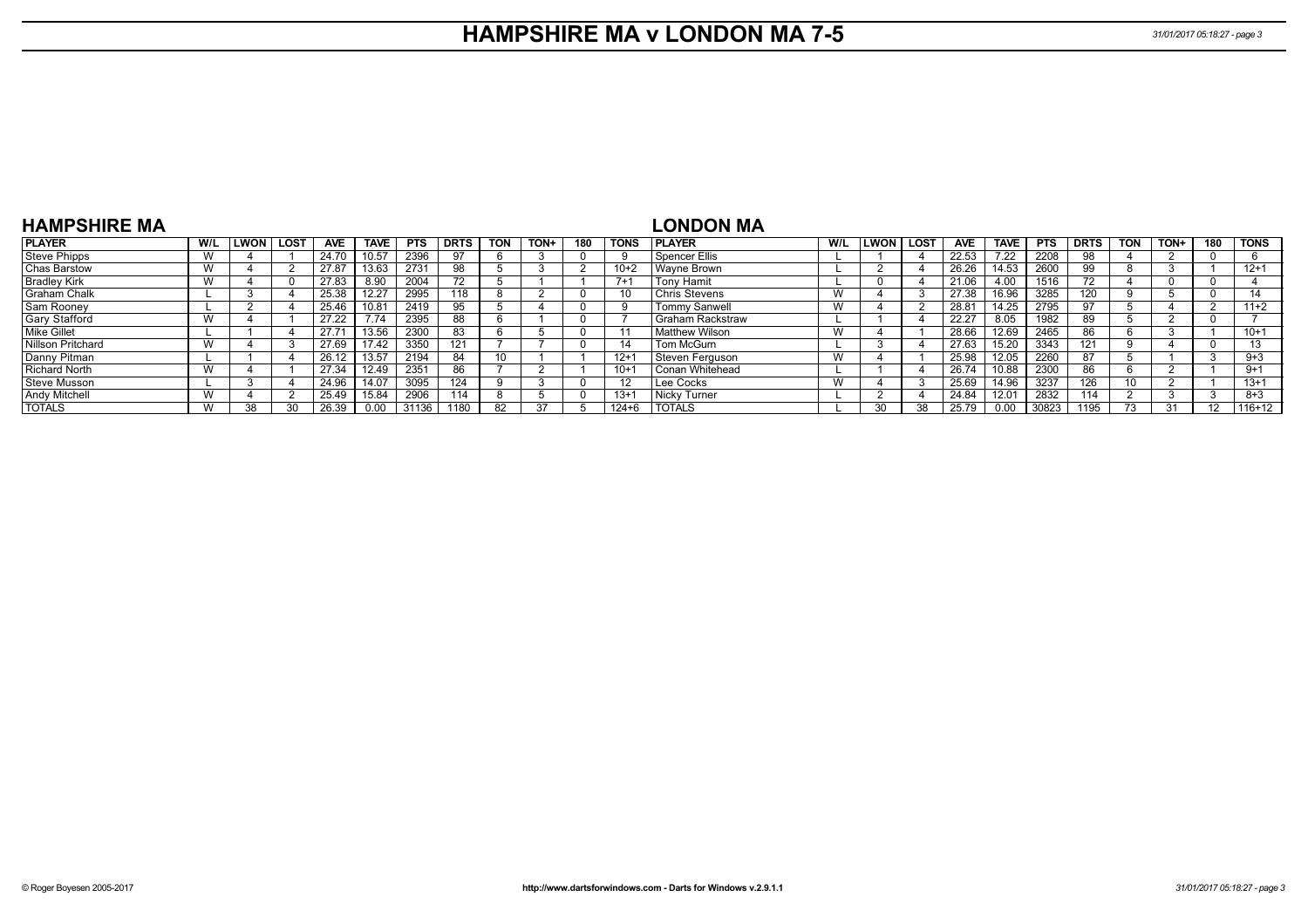#### **HAMPSHIRE MA v LONDON MA 7-5** *31/01/2017 05:18:27 - page 3*

| <b>HAMPSHIRE MA</b>  |             |      |            |             |            |             |            |      |     |             | LONDON MA              |     |              |        |            |             |            |             |            |      |          |             |
|----------------------|-------------|------|------------|-------------|------------|-------------|------------|------|-----|-------------|------------------------|-----|--------------|--------|------------|-------------|------------|-------------|------------|------|----------|-------------|
| <b>PLAYER</b>        | W/L ILWON I | LOST | <b>AVE</b> | <b>TAVE</b> | <b>PTS</b> | <b>DRTS</b> | <b>TON</b> | TON+ | 180 | <b>TONS</b> | <b>IPLAYER</b>         | W/L | <b>ILWON</b> | I LOST | <b>AVE</b> | <b>TAVE</b> | <b>PTS</b> | <b>DRTS</b> | <b>TON</b> | TON+ | 180      | <b>TONS</b> |
| Steve Phipps         |             |      | 24.70      | 10.57       | 2396       |             |            |      |     |             | Spencer Ellis          |     |              |        | 22.53      | 7.22        | 2208       | 98          |            |      |          |             |
| Chas Barstow         |             |      | 27.87      | 13.63       | 2731       | 98          |            |      |     | $10+2$      | l Wavne Brown          |     |              |        | 26.26      | 14.53       | 2600       | 99          |            |      |          | $12+1$      |
| <b>Bradley Kirk</b>  |             |      | 27.83      | 8.90        | 2004       | 72          |            |      |     | $7 + 1$     | Tony Hamit             |     |              |        | 21.06      | 4.00        | 1516       | 72          |            |      | 0        |             |
| <b>Graham Chalk</b>  |             |      | 25.38      | 12.27       | 2995       | 118         |            |      |     | 10          | Chris Stevens          | W   |              |        | 27.38      | 16.96       | 3285       | 120         |            |      | $\Omega$ |             |
| Sam Rooney           |             |      | 25.46      | 10.81       | 2419       | 95          |            |      |     |             | <b>Tommy Sanwell</b>   | W   |              |        | 28.81      | 14.25       | 2795       | 97          |            |      |          | $11+2$      |
| Gary Stafford        |             |      | 27.22      | 7.74        | 2395       | 88          |            |      |     |             | I Graham Rackstraw     |     |              |        | 22.27      | 8.05        | 1982       | 89          |            |      |          |             |
| Mike Gillet          |             |      | 27.71      | 13.56       | 2300       | 83          |            |      |     |             | l Matthew Wilson       | W   |              |        | 28.66      | 12.69       | 2465       | 86          |            |      |          | $10+1$      |
| Nillson Pritchard    |             |      | 27.69      | 17.42       | 3350       | 121         |            |      |     |             | Tom McGurn             |     |              |        | 27.63      | 15.20       | 3343       |             |            |      |          |             |
| Danny Pitman         |             |      | 26.12      | 13.57       | 2194       | 84          | 10         |      |     | $12 + 1$    | Steven Ferguson        | W   |              |        | 25.98      | 12.05       | 2260       | 87          |            |      |          | $9 + 3$     |
| <b>Richard North</b> |             |      | 27.34      | 12.49       | 2351       | 86          |            |      |     | $10 + 1$    | <b>Conan Whitehead</b> |     |              |        | 26.74      | 10.88       | 2300       | 86          |            |      |          | -9+         |
| Steve Musson         |             |      | 24.96      | 14.07       | 3095       | 124         |            |      |     | 12          | l Lee Cocks            | W   |              |        | 25.69      | 14.96       | 3237       | 126         |            |      |          | $13+1$      |
| <b>Andy Mitchell</b> |             |      | 25.49      | 15.84       | 2906       | 114         |            |      |     | $13+1$      | Nicky Turner           |     |              |        | 24.84      | 12.01       | 2832       | 114         |            |      |          | $8 + 3$     |
| <b>TOTALS</b>        |             |      | 26.39      | 0.00        | 31136      | 1180        | 82         |      |     | 124+6       | <b>TOTALS</b>          |     | 30           |        | 25.79      | 0.00        | 30823      | 1195        |            |      | 12       | 116+12      |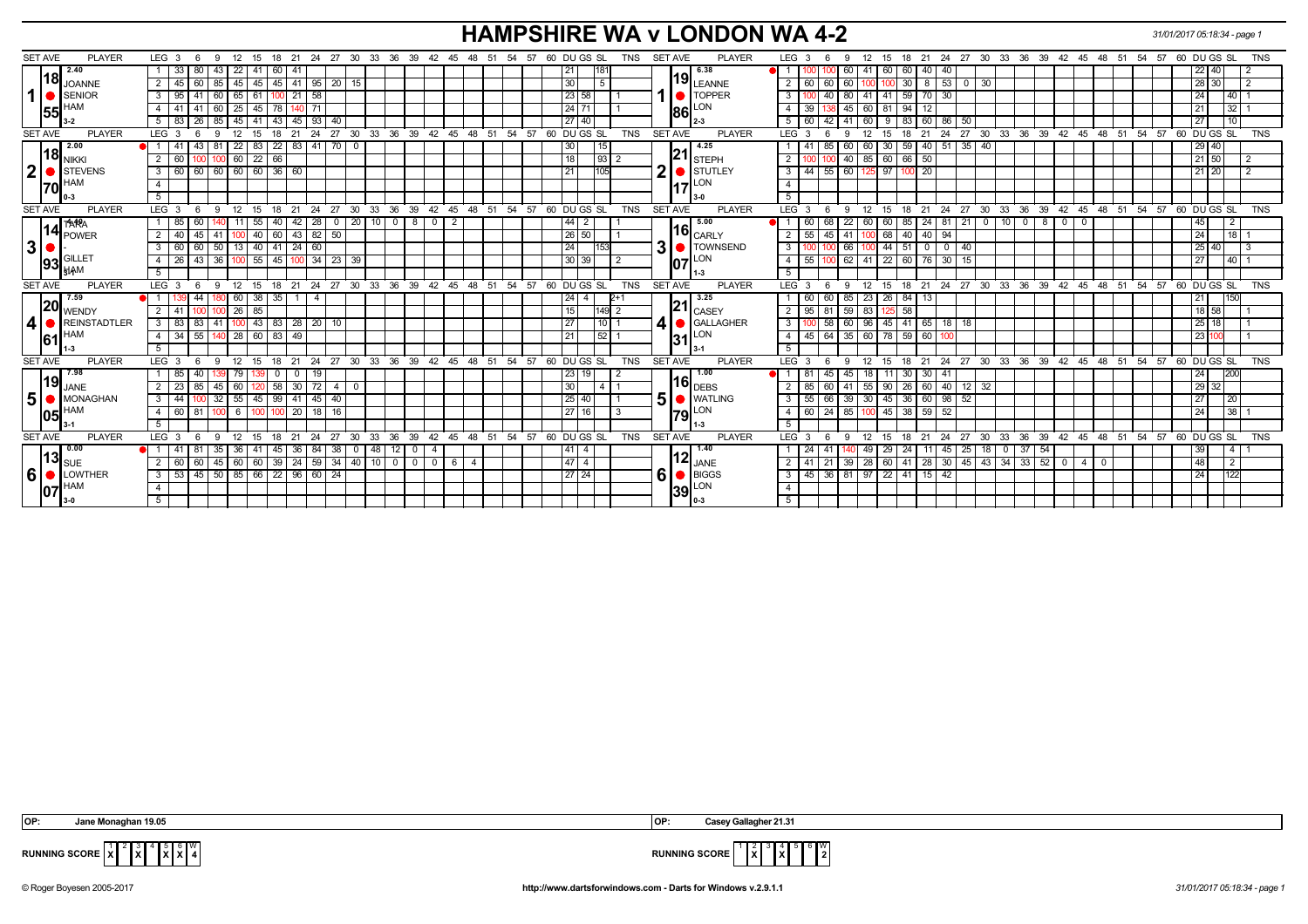### **HAMPSHIRE WA v LONDON WA 4-2** *31/01/2017 05:18:34 - page 1*

| <b>SET AVE</b><br><b>PLAYER</b> | LEG 3<br>-9<br>12<br>15<br>18<br>- 6                             | -21                          |                                                                       | 24  27  30  33  36  39  42  45  48  51  54  57  60  DU GS  SL<br>TNS  | <b>PLAYER</b><br>SET AVE        | LEG <sub>3</sub><br>21  24  27  30  33  36  39  42  45  48  51  54  57  60  DU GS  SL<br>9<br>12<br>15<br>18     | <b>TNS</b>         |
|---------------------------------|------------------------------------------------------------------|------------------------------|-----------------------------------------------------------------------|-----------------------------------------------------------------------|---------------------------------|------------------------------------------------------------------------------------------------------------------|--------------------|
| 2.40                            | 22<br>$\vert$ 33<br>41<br>80<br>60<br>-43                        | -41                          |                                                                       | 21<br> 181                                                            | 6.38                            | 60<br>40<br>60<br>-41<br>60<br>40 I<br>22 40                                                                     |                    |
| וטון<br><b>JOANNE</b>           | 45<br>45<br>$2 \mid 45$<br>60<br> 45 <br>85                      | $41$ 95<br>$\sqrt{20}$<br>15 |                                                                       | 30<br>5                                                               | $19$ <sub>LEANNE</sub>          | $8$ 53 0<br>30<br>60<br>28 30<br>$\mathbf{2}$<br>60<br>60<br>30                                                  |                    |
| 1<br>SENIOR                     | $3 \mid 95$<br>65<br>61<br>41<br>60                              | 58<br>21                     |                                                                       | 23 58                                                                 | <b>O</b> TOPPER                 | 59<br>80<br>41<br>  41  <br>$70 \mid 30$<br>3<br>24                                                              | $ 40 $ 1           |
| <b>HAM</b>                      | 25<br>45<br>4   41<br>41<br>78<br>60                             | 71<br>140 <sup>1</sup>       |                                                                       | 24 71                                                                 | LON                             | 45<br>94<br>$\overline{4}$<br>39<br>60<br>81<br>12<br>21                                                         | $32$   1           |
| 155<br>$3-2$                    | 45<br>41<br>$5 \mid 83$<br>26<br>43                              | 45<br>93<br>40               |                                                                       | 27 40                                                                 | 1861                            | 5<br>60<br>42<br>41<br>60<br>9<br>83<br>60<br>86<br>50<br>27                                                     | 10                 |
| <b>SET AVE</b><br><b>PLAYER</b> | LEG <sub>3</sub><br>15<br><b>q</b>                               | 24<br>$27 \cdot 30$<br>33    | 36 39 42 45 48 51 54 57                                               | 60 DUGS SL<br><b>TNS</b>                                              | <b>SET AVE</b><br><b>PLAYER</b> | 27<br>$30^{\circ}$<br>33 36 39 42 45 48 51 54 57<br>60 DU GS SL<br>LEG <sup>®</sup><br>-24<br>12<br>18<br>21     | <b>TNS</b>         |
| 2.00                            | 22<br>$22 \mid$<br>-41<br>83<br>43                               | $83 \mid 41$<br>70   0       |                                                                       | 15<br>30                                                              | 4.25                            | 30<br>59<br>40   51   35<br>-40<br>29 40<br>-60                                                                  |                    |
| 18 <br><b>NIKKI</b>             | $\overline{22}$<br>$2 \mid 60$<br>60<br>$\overline{66}$          |                              |                                                                       | 18<br>93                                                              | 121<br><b>STEPH</b>             | 85 60 66<br>40<br>50<br>$21$ 50<br>$\overline{2}$                                                                |                    |
| $\mathbf{2}$<br>STEVENS         | 60 60 60 60 36 60<br>3   60                                      |                              |                                                                       | 21<br>105                                                             | 2<br>STUTLEY                    | $\mathbf{3}$<br>55 60 125 97<br>-44 I<br>100 20<br>21 20                                                         | l 2                |
| <b>HAM</b><br> 70               | $\overline{4}$                                                   |                              |                                                                       |                                                                       | LON                             | $\overline{4}$                                                                                                   |                    |
| $0-3$                           | 5 <sup>5</sup>                                                   |                              |                                                                       |                                                                       |                                 | 5                                                                                                                |                    |
| <b>SET AVE</b><br><b>PLAYER</b> | LEG 3<br><b>9</b><br>- 6                                         | 12 15 18 21 24 27 30         |                                                                       | 33 36 39 42 45 48 51 54 57 60 DUGS SL<br><b>TNS</b>                   | <b>SET AVE</b><br><b>PLAYER</b> | 18 21 24 27 30 33 36 39 42 45 48 51 54 57 60 DUGS SL<br>$LEG \ 3$<br>12<br>15<br>- 6<br>9                        | <b>TNS</b>         |
| <b>TARA</b>                     | 1 85<br>55<br>-60<br>40 I<br>11                                  | $0$   20   10<br>42<br>28    | $0$   8<br>$\mathbf{0}$<br>$\overline{2}$                             | $\sqrt{44}$ 2                                                         | 5.00                            | 24   81   21<br>$0$   10  <br>$\mathbf{0}$<br>800<br>$\mathbf 0$<br>22<br>  60  <br>60 I<br>85<br>45<br>68<br>60 | l 2                |
| 14 <br>POWER                    | $40$ 60<br>2   40<br>45   41  <br>100                            | 43 82 50                     |                                                                       | 26 50                                                                 | $\mathbf{16}_{\mathsf{CARLY}}$  | 55<br>$45 \mid 41$<br>100 68 40 40 94<br>$\overline{24}$<br>$\overline{2}$                                       | $\overline{118}$ 1 |
| $\mathbf{3}$                    | 60 50 13 40 41 24<br>$3 \mid 60$                                 | 60                           |                                                                       | 24<br>153                                                             | 3   TOWNSEND                    | 25 40<br>3<br>$44 \mid 51$<br>$0$ 0 40<br>66                                                                     | <b>1</b> 3         |
| $ 93 $ $\frac{10}{314}$ M       | $4 \mid 26 \mid$<br>43   36   100   55   45   100   34   23   39 |                              |                                                                       | 30 39 <br>l 2                                                         | LON<br>107                      | $\overline{4}$<br>55<br>62   41   22   60   76   30   15<br>27                                                   | 40 1               |
|                                 | 5 <sup>5</sup>                                                   |                              |                                                                       |                                                                       |                                 | 5                                                                                                                |                    |
|                                 |                                                                  |                              |                                                                       |                                                                       | 11-3                            |                                                                                                                  |                    |
| <b>PLAYER</b><br><b>SET AVE</b> | $9 \t12$<br>LEG 3<br>6                                           |                              |                                                                       | 15 18 21 24 27 30 33 36 39 42 45 48 51 54 57 60 DUGS SL<br><b>TNS</b> | <b>SET AVE</b><br><b>PLAYER</b> | 12<br>$15$ 18 21 24 27 30 33 36 39 42 45 48 51 54 57 60 DUGS SL<br>$LEG \ 3$<br>9<br>- 6                         | <b>TNS</b>         |
| 7.59                            | 60<br>$38 \mid 35 \mid$<br>44                                    | $\overline{4}$<br>1 I        |                                                                       | $124 \overline{)4}$<br>2+1                                            | 3.25                            | 85   23   26   84  <br>60<br>13<br>60                                                                            | 150                |
| 20<br>WENDY                     | 100 100 26<br>85<br>$2 \sqrt{41}$                                |                              |                                                                       | 15<br>$149$ 2                                                         | 21 <br><b>CASEY</b>             | $\overline{2}$<br>$\sqrt{95}$<br>$59 \mid 83 \mid$<br>$125 - 58$<br>18 58<br>81                                  |                    |
| 4<br><b>REINSTADTLER</b>        | $3 \mid 83$<br>83   41                                           | 100 43 83 28 20 10           |                                                                       | 27<br>$10$ 1                                                          | 4<br>GALLAGHER                  | 60   96   45   41   65   18   18<br>3<br>58<br>25 18                                                             |                    |
| <b>HAM</b>                      | 55 140 28<br> 60 83 <br>$4 \overline{)34}$                       | 49                           |                                                                       | $52$ 1<br>21                                                          |                                 | 64 35 60 78 59 60 100<br>23 100<br>$\overline{4}$<br>45                                                          |                    |
| 61 <br>1-3                      | 5                                                                |                              |                                                                       |                                                                       | $31$ <sup>LON</sup><br>3-1      | $5\overline{)}$                                                                                                  |                    |
| <b>SET AVE</b><br><b>PLAYER</b> | $^{\circ}$ 12<br>LEG <sup>3</sup><br>- 6<br>- 9                  |                              |                                                                       | 15 18 21 24 27 30 33 36 39 42 45 48 51 54 57 60 DUGS SL<br><b>TNS</b> | <b>SET AVE</b><br><b>PLAYER</b> | 18 21 24 27 30 33 36 39 42 45 48 51 54 57 60 DUGS SL<br>$LEG \ 3$<br>12<br>15<br>- 6<br>9                        | <b>TNS</b>         |
| 7.98                            | $1$ 85<br>40 l<br>39 79<br>$\mathbf{0}$<br>139                   | 19<br>$\mathbf{0}$           |                                                                       | 23 19                                                                 | 1.00                            | 45<br>$11 \overline{30}$<br>$30 \mid 41$<br>-81<br>45<br> 18 <br> 24                                             | 200                |
| 19 <br>JANE                     | $2 \mid 23$<br>85<br>60<br>58<br>-45 I<br>120                    | 30<br> 72 <br>4   0          |                                                                       | 30 <sup>°</sup><br>$\overline{a}$                                     | 116 $_{\sf DEBS}$               | 55 90 26<br>60 40 12<br>32<br>29 32<br>85<br>60<br>41                                                            |                    |
| 5 <sup>1</sup><br>MONAGHAN      | $32 \quad 55$<br>$3 \mid 44$<br>45                               | $99 \mid 41$<br>45<br>40     |                                                                       | 25 40                                                                 | 5<br><b>WATLING</b>             | $45 \mid 36$<br>$39 \mid 30 \mid$<br>60 98<br>52<br>3<br>55<br>66<br>27                                          | 20                 |
| <b>HAM</b><br>105               | $4 \overline{60}$<br>81<br>$100 \t 6$<br>1001 1001               | 20<br>18<br> 16              |                                                                       | 27 16                                                                 | LON<br><b>1791</b>              | 85   100<br>38<br>$59$ 52<br>60<br>24 <sub>1</sub><br>45<br>24<br>4                                              | 38                 |
|                                 | 5                                                                |                              |                                                                       |                                                                       | 11-3                            | $\overline{5}$                                                                                                   |                    |
| <b>SET AVE</b><br><b>PLAYER</b> | LEG 3<br>12<br>-9<br>15                                          | 27<br>33<br>36<br>24<br>30   | 39                                                                    | 42 45 48 51 54 57 60 DUGS SL<br><b>TNS</b>                            | SET AVE<br><b>PLAYER</b>        | 39 42 45 48 51 54 57 60 DUGS SL<br>$LEG \ 3$<br>30<br>33<br>36<br>12<br>21<br>-24<br>27<br>9<br>15<br>18         | <b>TNS</b>         |
| 0.00                            | 1   41<br>36<br>41<br>35<br>45                                   | 36<br>48<br>84<br>-38 I      | 12 I<br>$\overline{a}$                                                | $\sqrt{41}$   4                                                       | 1.40                            | 29<br>25<br>$0$ 37<br>54<br>49<br>24<br>45<br>39<br>-11 I                                                        | $\left[4\right]$   |
| 13 <br><b>SUE</b>               | 60<br>60<br> 39 <br>$2 \mid 60$<br>60<br>45                      | 24<br>59<br>34   40   10     | $\overline{\phantom{0}}$<br>$\overline{0}$<br>$\overline{0}$<br>- 6 I | 47 4<br>$\overline{4}$                                                | $112$ JANE                      | $28$ 30 45 43 34<br>$33 \mid 52 \mid 0$<br>39<br>28   60   41<br>48<br>$\overline{2}$<br>4 I<br>-41              | $\overline{2}$     |
| 6<br>• LOWTHER                  | 45   50   85   66   22   96   60   24  <br>$3 \mid 53$           |                              |                                                                       | 27 24                                                                 | 6<br>$\bullet$ BIGGS            | 36   81   97   22   41   15   42<br>3<br>  45  <br>24                                                            | 122                |
| <b>HAM</b><br>107               | $\overline{4}$<br>5 <sup>5</sup>                                 |                              |                                                                       |                                                                       | LON<br> 39 <br>$0 - 3$          | $\overline{4}$<br>5                                                                                              |                    |

 **OP: Jane Monaghan 19.05 OP: Casey Gallagher 21.31**

 $\frac{2}{\mathsf{x}}$ 4 5 **X** 6 **X** W



**RUNNING SCORE**  $\begin{bmatrix} 1 \\ X \end{bmatrix}$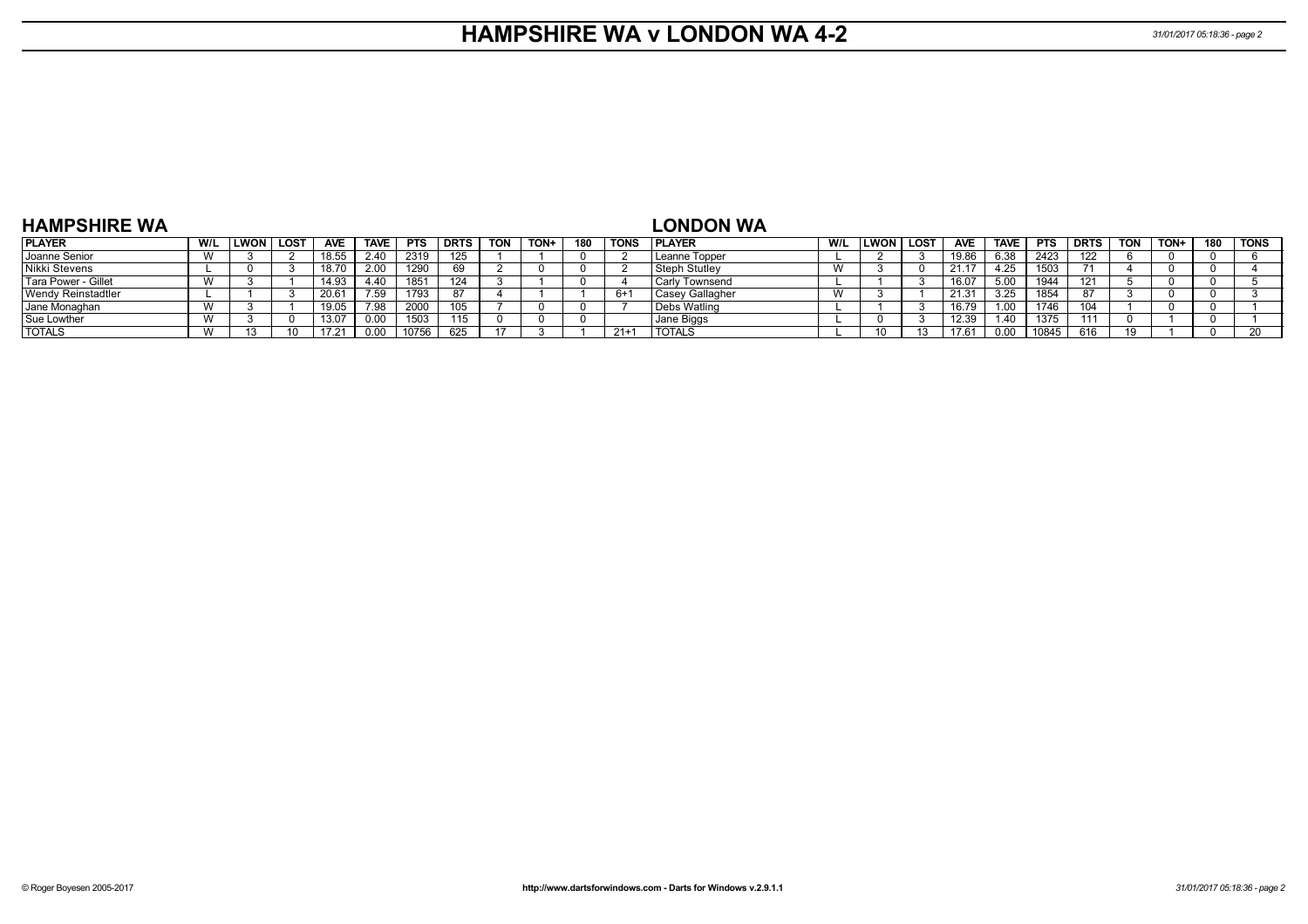### **HAMPSHIRE WA v LONDON WA 4-2** *31/01/2017 05:18:36 - page 2*

| <b>HAMPSHIRE WA</b> |     |      |      |       |             |            |                   |            |      |     |             | <b>LONDON WA</b>    |     |              |             |            |                  |            |             |            |      |     |             |
|---------------------|-----|------|------|-------|-------------|------------|-------------------|------------|------|-----|-------------|---------------------|-----|--------------|-------------|------------|------------------|------------|-------------|------------|------|-----|-------------|
| <b>PLAYER</b>       | W/L | LWON | LOST | AVE.  | <b>TAVE</b> | <b>PTS</b> | <b>DRTS</b>       | <b>TON</b> | TON+ | 180 | <b>TONS</b> | <b>I PLAYER</b>     | W/L | <b>ILWON</b> | <b>LOST</b> | <b>AVE</b> | <b>TAVE</b>      | <b>PTS</b> | <b>DRTS</b> | <b>TON</b> | TON+ | 180 | <b>TONS</b> |
| Joanne Senior       |     |      |      | 18.55 | 2.40        | 2319       | 125               |            |      |     |             | Leanne Topper       |     |              |             | 19.86      | 6.38             | 2423       | 122         |            |      |     |             |
| Nikki Stevens       |     |      |      | 18.70 | 2.00        | 1290       | 69                |            |      |     |             | l Steph Stutlev     |     |              |             | 21.        | 4.25             | 1503       |             |            |      |     |             |
| Tara Power - Gillet |     |      |      | 14.93 | 4.40        | 1851       | 124               |            |      |     |             | Carly Townsend      |     |              |             | 16.07      | 5.00             |            | 121         |            |      |     |             |
| Wendy Reinstadtler  |     |      |      | 20.61 | 7.59        | 1793       | 87                |            |      |     | 6+          | Casey Gallagher     |     |              |             | 21.3'      | 3.25             | 1854       |             |            |      |     |             |
| Jane Monaghan       | W   |      |      | 19.05 | 7 Q.R       | 2000       | 105               |            |      |     |             | <b>Debs Watling</b> |     |              |             | 16.79      | 1.0 <sub>C</sub> | 1746       |             |            |      |     |             |
| Sue Lowther         |     |      |      | 13.07 |             | 1503       | <b>445</b><br>ن ا |            |      |     |             | Jane Biggs          |     |              |             | 12.39      | l.40             | 1375       |             |            |      |     |             |
| <b>TOTALS</b>       |     |      |      |       |             | 10756      | 625               |            |      |     | $21+$       | <b>TOTALS</b>       |     |              |             |            |                  | 1084       | 616         |            |      |     |             |

#### **HAMPSHIRE WA**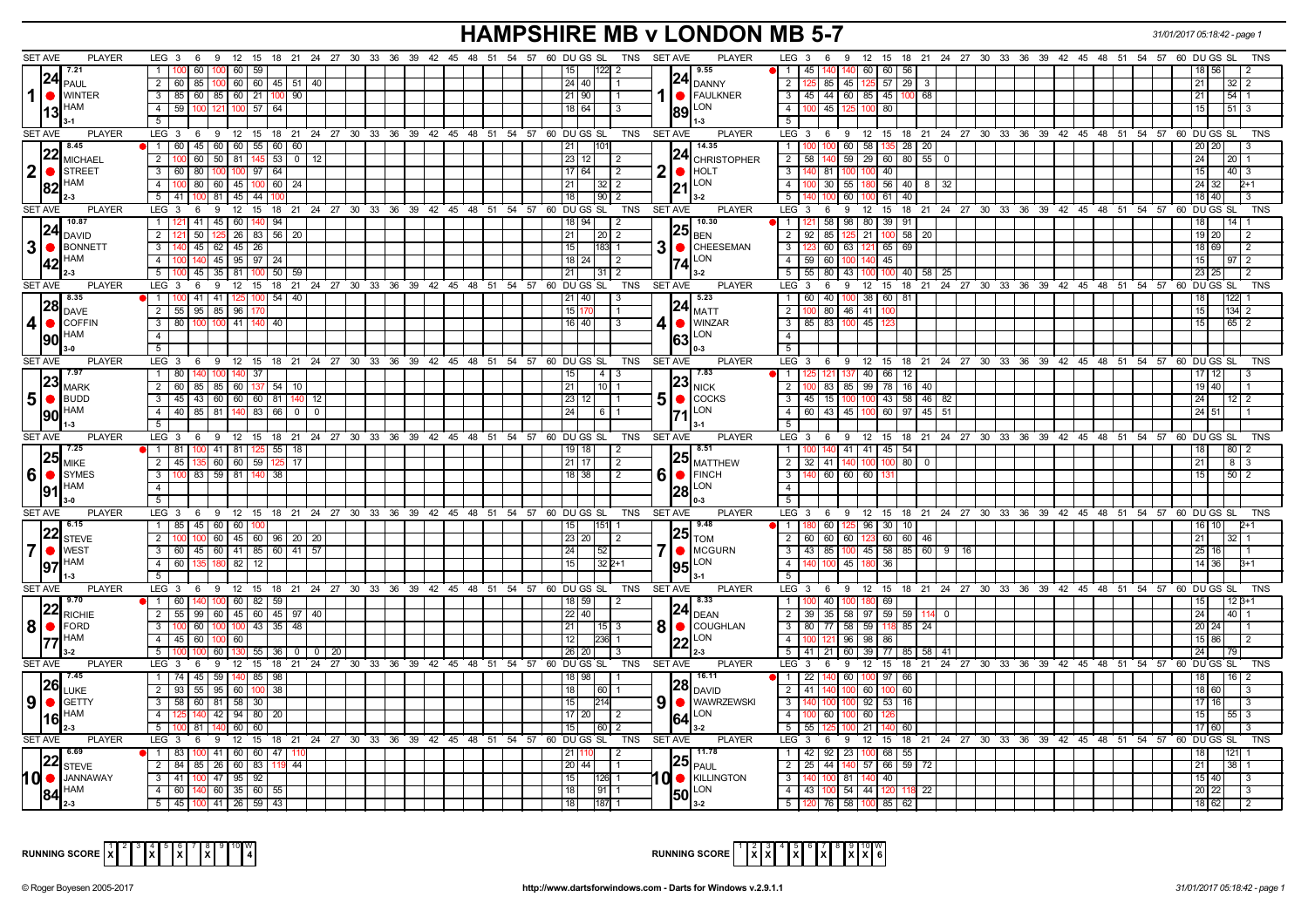# **HAMPSHIRE MB v LONDON MB 5-7** *31/01/2017 05:18:42 - page 1*

| <b>SET AVE</b><br><b>PLAYER</b>     | LEG 3 6 9 12 15 18 21 24 27 30 33 36 39 42 45 48 51 54 57 60 DUGS SL                |                                        |                                                                           | TNS SET AVE<br><b>PLAYER</b>            | 9 12 15 18 21 24 27 30 33 36 39 42 45 48 51 54 57 60 DUGS SL<br>LEG $3 \quad 6$              |
|-------------------------------------|-------------------------------------------------------------------------------------|----------------------------------------|---------------------------------------------------------------------------|-----------------------------------------|----------------------------------------------------------------------------------------------|
| 7.21                                | 11<br>60 100 60 59                                                                  |                                        | 2                                                                         | 9.55                                    | 45   140   140   60   60   56  <br>$\vert$ 1 $\vert$                                         |
| 24 <br>PAUL                         | 2 60 85 100 60 60 45 51 40                                                          |                                        | 24 40                                                                     | $ 24 _{\text{DANNY}}$                   | $\overline{2}$<br>$125 \mid 85 \mid 45 \mid 125 \mid 57 \mid 29 \mid 3$                      |
| $\blacksquare$<br><b>O</b> WINTER   | 3   85   60   85   60   21   100   90                                               |                                        | 21 90                                                                     | <b>C</b> FAULKNER                       | 3   45   44   60   85   45   100   68  <br>21<br>l 54 l 1                                    |
| HAM                                 | 4 59 100 121 100 57 64                                                              |                                        | 18 64<br>l 3                                                              |                                         | 4   100   45   125   100   80<br>15 <sub>1</sub><br>$151$ 3                                  |
| 13                                  |                                                                                     |                                        |                                                                           | $89$ <sup>LON</sup>                     |                                                                                              |
|                                     | - 5 I                                                                               |                                        |                                                                           |                                         | 5                                                                                            |
| <b>SET AVE</b><br><b>PLAYER</b>     | LEG 3<br>6                                                                          |                                        | 9 12 15 18 21 24 27 30 33 36 39 42 45 48 51 54 57 60 DUGSSL<br><b>TNS</b> | <b>SET AVE</b><br><b>PLAYER</b>         | 9 12 15 18 21 24 27 30 33 36 39 42 45 48 51 54 57 60 DUGS SL<br>$LEG_3 6$<br><b>TNS</b>      |
| 845                                 | 1 60 45 60 60 55 60 60                                                              |                                        | I 21 I                                                                    | 14.35                                   | 60 58 135 28 20<br>$1 \mid$<br>20 20                                                         |
| $\left 22\right _{\text{MICHAEL}}$  | $2 \overline{100}$<br>$\overline{60}$ 50 $\overline{81}$ 145 $\overline{53}$ 0 12   |                                        | 23 12<br>$\overline{2}$                                                   | 24 CHRISTOPHER                          | $\overline{2}$<br>$59$ 29 60 80 55 0<br>58 140<br>24<br>I 20 I 1                             |
| 2 <br><b>O</b> STREET               | 80   100 100   97   64<br>3   60                                                    |                                        | 17 64 <br>$\overline{2}$                                                  | <b>I</b> HOLT                           | د<br>100 100 40<br>15<br>140 81<br>40 3                                                      |
| HAM                                 | 4   100   80   60   45   100   60   24                                              |                                        | 21 <br>$32 \mid 2$                                                        | <b>ILON</b>                             | $\overline{4}$<br>$100$ 30 55 180 56 40 8 32<br>24 32<br>$2+1$                               |
| 82<br>$2-3$                         | $5$   41   100   81   45   44   100                                                 |                                        | <b>18</b><br>90                                                           |                                         | 140 100 60 100 61 40<br>$5-1$<br>18 40                                                       |
| <b>SET AVE</b><br><b>PLAYER</b>     | LEG <sup>3</sup>                                                                    |                                        | 6 9 12 15 18 21 24 27 30 33 36 39 42 45 48 51 54 57 60 DUGSSL TNS         | <b>PLAYER</b><br>SET AVE                | $LEG \ 3$<br>9 12 15 18 21 24 27 30 33 36 39 42 45 48 51 54 57 60 DUGS SL<br>6<br><b>TNS</b> |
| 10.87                               |                                                                                     |                                        |                                                                           | 10.30                                   |                                                                                              |
| $\left 24\right _{\text{DAVID}}$    | 41 45 60 140 94<br>1   121                                                          |                                        | 18   94<br>-2                                                             | $\overline{\textbf{25}}_{\texttt{BEN}}$ | 58 98 80 39 91<br>$\mathbf{1}$                                                               |
|                                     | $\overline{2}$<br>50   125   26   83   56   20                                      |                                        | 21  <br>$20 \mid 2$                                                       |                                         | $\overline{2}$<br>125 21 100 58 20<br>92<br>85<br>$19$ $20$                                  |
| 3 <b>O</b> BONNETT                  | 45 62 45 26<br>$3 - 140$                                                            |                                        | 15<br>$183 - 1$                                                           | 3 CHEESEMAN                             | 3<br>123 60 63 121 65<br>69<br>18 69<br>l 2                                                  |
| HAM<br>42                           | 140 45 95 97 24<br>4                                                                |                                        | 18 24<br>2                                                                | $ 74 ^{LON}$                            | 4<br>59 60<br>100   140   45                                                                 |
| $2 - 3$                             | $5^{\circ}$<br>45 35 81<br>50 59                                                    |                                        | 21 <br>31                                                                 |                                         | $5-1$<br>55 80 43 100 100<br>$40$ 58 25                                                      |
| <b>SET AVE</b><br><b>PLAYER</b>     | LEG 3<br>6 9 12 15 18 21 24 27 30 33 36 39 42 45 48 51 54 57 60 DUGS SL             |                                        | <b>TNS</b>                                                                | <b>PLAYER</b><br>SET AVE                | LEG 3 6 9 12 15 18 21 24 27 30 33 36 39 42 45 48 51 54 57 60 DUGS SL                         |
| <b>8.35</b>                         | 41 41 125<br>100 54 40<br>1 1 10 0                                                  |                                        | 21   40<br>3                                                              | 5.23                                    | 1<br>60 40 100 38 60 81                                                                      |
| $\ 28\ _{\text{DAVE}}$              | 2 55 95 85 96                                                                       |                                        | 15   170                                                                  | $\overline{\textbf{24}}_{\text{MATT}}$  | 2   100   80   46   41  <br>$134$ 2<br>15                                                    |
|                                     | 3   80<br>100 100 41 140<br>40                                                      |                                        | 16 40<br>$\overline{\mathbf{3}}$                                          | <b>WINZAR</b>                           | 3   85   83   100   45   1<br>15<br> 65 2                                                    |
| 4   COFFIN<br><b>HAM</b>            | $\overline{4}$                                                                      |                                        |                                                                           |                                         |                                                                                              |
| 90                                  |                                                                                     |                                        |                                                                           | $ 63 ^{LON}$                            | 4                                                                                            |
| $3 - 0$                             | 5 <sup>5</sup>                                                                      |                                        |                                                                           |                                         | 5                                                                                            |
| <b>SET AVE</b><br><b>PLAYER</b>     | LEG 3 6 9 12 15 18 21 24 27 30 33 36 39 42 45 48 51 54 57 60 DUGS SL                |                                        | TNS                                                                       | SET AVE<br><b>PLAYER</b>                | LEG 3 6 9 12 15 18 21 24 27 30 33 36 39 42 45 48 51 54 57 60 DUGS SL<br><b>TNS</b>           |
| 17.97                               | 100 140 37<br>1 8 8 1<br>140.                                                       |                                        | 15<br>$\vert 4 \vert 3$                                                   | 17.83                                   | $137$ 40 66<br>12<br>1 <sup>1</sup>                                                          |
| $\left\  23 \right\ _{\rm MARK}$    | $2 \mid 60 \mid$<br>85 85 60<br>137 54 10                                           |                                        | $ 21 $<br>10 <sup>1</sup>                                                 | $ 23 _{NICK}$                           | 100 83 85 99 78<br>16 40<br>2 I<br>19 40                                                     |
| $5$ $\bullet$ <b>BUDD</b>           | 3 45 43 60 60 60 81 140<br>12                                                       |                                        | 23 12                                                                     | $5  \bullet  $ COCKS                    | 3 45 15 100 100 43 58 46 82<br>24 I<br>12   2                                                |
| $\left\Vert 90\right\Vert ^{HAM}$   | 85 81 140<br>$4 \mid 40 \mid$<br>83 66 0<br>$\mathbf 0$                             |                                        | 24                                                                        | LON                                     | 60 43 45 100 60<br>4<br>$97$ 45 51<br>24 51                                                  |
| $1 - 3$                             | 5                                                                                   |                                        |                                                                           |                                         | 5                                                                                            |
| <b>SET AVE</b><br><b>PLAYER</b>     | LEG <sub>3</sub><br>6 9 12                                                          | 15 18 21 24 27 30 33 36 39 42 45 48 51 | 54 57 60 DU GS SL<br>TNS                                                  | <b>PLAYER</b><br>SET AVE                | 9 12 15 18 21 24 27 30 33 36 39 42 45 48 51 54 57 60 DUGS SL<br>$LEG_3 6$<br><b>TNS</b>      |
| $\overline{17.25}$                  | $1$ 81 100 41 81<br>$55$ 18<br>125                                                  |                                        | $19$   18<br>-2                                                           |                                         | $\overline{1}$<br>100 140 41 41 45 54<br>18                                                  |
| $\left  25 \right _{\text{MIKE}}$   | $2 \mid 45 \mid$<br>60 60<br>59 125<br>135<br>17                                    |                                        | 21   17<br>2                                                              | $\bm{25}$ MATTHEW                       | $\overline{2}$<br>140 100<br>80<br>32   41  <br>- 0<br>21 <sub>1</sub><br>  8   3            |
| 6   SYMES                           | $\overline{3}$<br>83 59 81<br>140<br>38                                             |                                        | 18 38<br>$\overline{2}$                                                   | $\bullet$ FINCH                         | $\frac{3}{2}$<br>140 60 60 60<br>150 I 2<br>15                                               |
|                                     | $\overline{4}$                                                                      |                                        |                                                                           | 6                                       |                                                                                              |
| $ 91 ^{HAM}$                        |                                                                                     |                                        |                                                                           | $ 28 ^{LON}$                            | $\overline{4}$                                                                               |
| $3-0$                               | 5 <sup>1</sup>                                                                      |                                        |                                                                           |                                         | 5                                                                                            |
| <b>SET AVE</b><br><b>PLAYER</b>     | $LEG_3$<br>່ 6 9 12 15 18 21 24 27 30 33 36 39 42 45 48 51 54 57 60 DUGSSL          |                                        | TNS                                                                       | SET AVE<br><b>PLAYER</b>                | LEG 3 6 9 12 15 18 21 24 27 30 33 36 39 42 45 48 51 54 57 60 DUGS SL<br><b>TNS</b>           |
| 6.15                                | 45 60 60 100<br>1   85                                                              |                                        | 15                                                                        | 9.48                                    | 180 60 125 96 30 10<br>$\vert$ 1 $\vert$<br>16   10                                          |
| $ 22 _{\text{STEVE}}$               | 60 45 60 96 20 20<br>$\overline{2}$                                                 |                                        | 23 20                                                                     | $25$ <sub>TOM</sub>                     | 60 60 60 123 60 60 46<br>$\overline{2}$<br>21 <sup>1</sup>                                   |
| $\overline{7}$<br><b>O</b> WEST     | $3 \mid 60$<br>45 60 41 85 60 41 57                                                 |                                        | 24                                                                        | <b>O</b> MCGURN                         | 3 <sup>1</sup><br>43 85 100 45 58 85 60 9 16<br>25 16                                        |
| $ 97 $ <sup>HAM</sup>               | 4 60<br> 82 <br>$\vert$ 12                                                          |                                        | 15 <sup>1</sup><br>$32P+1$                                                | $ 95 ^{LON}$                            | 4<br>45   180<br>  36                                                                        |
| $1-3$                               | 5                                                                                   |                                        |                                                                           |                                         | 5                                                                                            |
| <b>SET AVE</b><br><b>PLAYER</b>     | LEG 3 6 9 12 15 18 21 24 27 30 33 36 39 42 45 48 51 54 57 60 DUGS SL TNS SETAVE     |                                        |                                                                           | <b>PLAYER</b>                           | LEG 3 6 9 12 15 18 21 24 27 30 33 36 39 42 45 48 51 54 57 60 DUGS SL                         |
|                                     | 1 60<br>140 100 60 82 59                                                            |                                        | 18   59  <br>l 2                                                          |                                         | $1 \vert$<br> 40 <br>100 I<br>180 69                                                         |
| $22$ <sub>RICHIE</sub>              | 2   55   99   60   45   60   45   97   40                                           |                                        | 22 40                                                                     | $24 \Big _{\text{DEAN}}^{8.33}$         | $\overline{2}$<br>$39 \mid 35 \mid 58 \mid 97 \mid 59 \mid 59 \mid 114 \mid 0$<br>24         |
| <b>80</b> FORD                      | $3   100   60   100   100   43   35   48$                                           |                                        | $ 21 $ 15 3                                                               | 8   COUGHLAN                            | 3   80   77   58   59   118   85   24  <br>20 24<br><b>I</b> 1                               |
| HAM                                 | 4 4 5 60 100 60                                                                     |                                        | 12 <br>236 1                                                              |                                         | 4   100   121   96   98   86<br>$\overline{2}$                                               |
| 77                                  |                                                                                     |                                        |                                                                           | $ 22 ^{LON}$                            | 15 86                                                                                        |
| $3 - 2$                             | 55 36 0 0 20<br>5   1<br>100<br>60 130                                              |                                        | 26 20 <br>3                                                               |                                         | 5   41   21   60   39   77   85   58   41  <br>24                                            |
| <b>SET AVE</b><br><b>PLAYER</b>     | ໍ 6 9 12 15 18 21 24 27 30 33 36 39 42 45 48 51 54 57 60 DUGSSL<br>LEG <sup>3</sup> |                                        | TNS                                                                       | SET AVE<br><b>PLAYER</b>                | $LEG_3$ 6<br>9 12 15 18 21 24 27 30 33 36 39 42 45 48 51 54 57 60 DUGS SL<br><b>TNS</b>      |
| 7.45                                | 1   74   45   59   140   85   98                                                    |                                        | 18 98                                                                     | 16.11                                   | 1   22   140   60   100   97  <br>66<br>$116$ 2<br>18 <sup>1</sup>                           |
| $ 26 _{\text{LUKE}}$                | $2 \mid 93 \mid$<br>$55 \mid 95 \mid 60 \mid$<br>$100$ 38                           |                                        | 18<br>60                                                                  | <b>28</b> DAVID                         | $\overline{2}$<br>41<br>60<br>100<br>$60$   $\cdot$<br>18 60                                 |
| $\vert 9 \vert \bullet \vert$ getty | 60 81 58 30<br>3   58                                                               |                                        | 15                                                                        | 9   WAWRZEWSKI                          | $\overline{\mathbf{3}}$<br>100 92 53<br>16<br>17 16<br>$\vert$ 3                             |
| HAM<br> 16                          | 140 42 94 80 20<br>$-4$   125                                                       |                                        | $17$ 20                                                                   | <b>64</b> LON                           | 4<br>$100$ 60<br>100 I<br>60 I<br>55 3<br>15 <sup>1</sup>                                    |
| $2 - 3$                             | $5 \mid 100$<br>81 140 60 60                                                        |                                        | 15<br>60 2                                                                |                                         | 5 <sub>1</sub><br>100 21 140<br>55   125<br>60<br>17 60                                      |
| <b>SET AVE</b><br><b>PLAYER</b>     | LEG 3                                                                               |                                        | 6 9 12 15 18 21 24 27 30 33 36 39 42 45 48 51 54 57 60 DUGSSL TNS         | SET AVE<br><b>PLAYER</b>                | 9 12 15 18 21 24 27 30 33 36 39 42 45 48 51 54 57 60 DUGS SL<br>$LEG_36$<br>TNS              |
| 6.69                                | $100$ 41 60 60 47<br>1   83                                                         |                                        | 21   110<br>-2                                                            | 11.78                                   | $1$   42   92   23   100   68   55<br>18 <sup>1</sup>                                        |
| $ 22 _{\text{STEVE}}$               | 2   84   85   26   60   83   119   44                                               |                                        | 20 44 <br>$\mathbf{1}$                                                    | $25$ <sub>PAUL</sub>                    | $\overline{2}$<br>$25 \mid 44 \mid$<br>140 57 66 59 72<br>21<br>3811                         |
| <b>10 ·</b> JANNAWAY                | 3 41 100 47 95 92                                                                   |                                        | 15 <br>126 1                                                              | <b>0</b> KILLINGTON                     | 3<br>140 100 81 140 40<br>15 40<br>  3                                                       |
| HAM                                 | 4 60 140 60 35 60 55                                                                |                                        | 18 T<br>l 91 l                                                            |                                         | 4 4 43 100 54 44 120<br>118 22<br>20.22                                                      |
|                                     | $5$   45   100   41   26   59   43                                                  |                                        | 118 I                                                                     | $30^{LON}_{3-2}$                        | $5 \mid 120 \mid 76 \mid 58 \mid 100 \mid 85 \mid 62 \mid$<br>18 62                          |
|                                     |                                                                                     |                                        |                                                                           |                                         |                                                                                              |

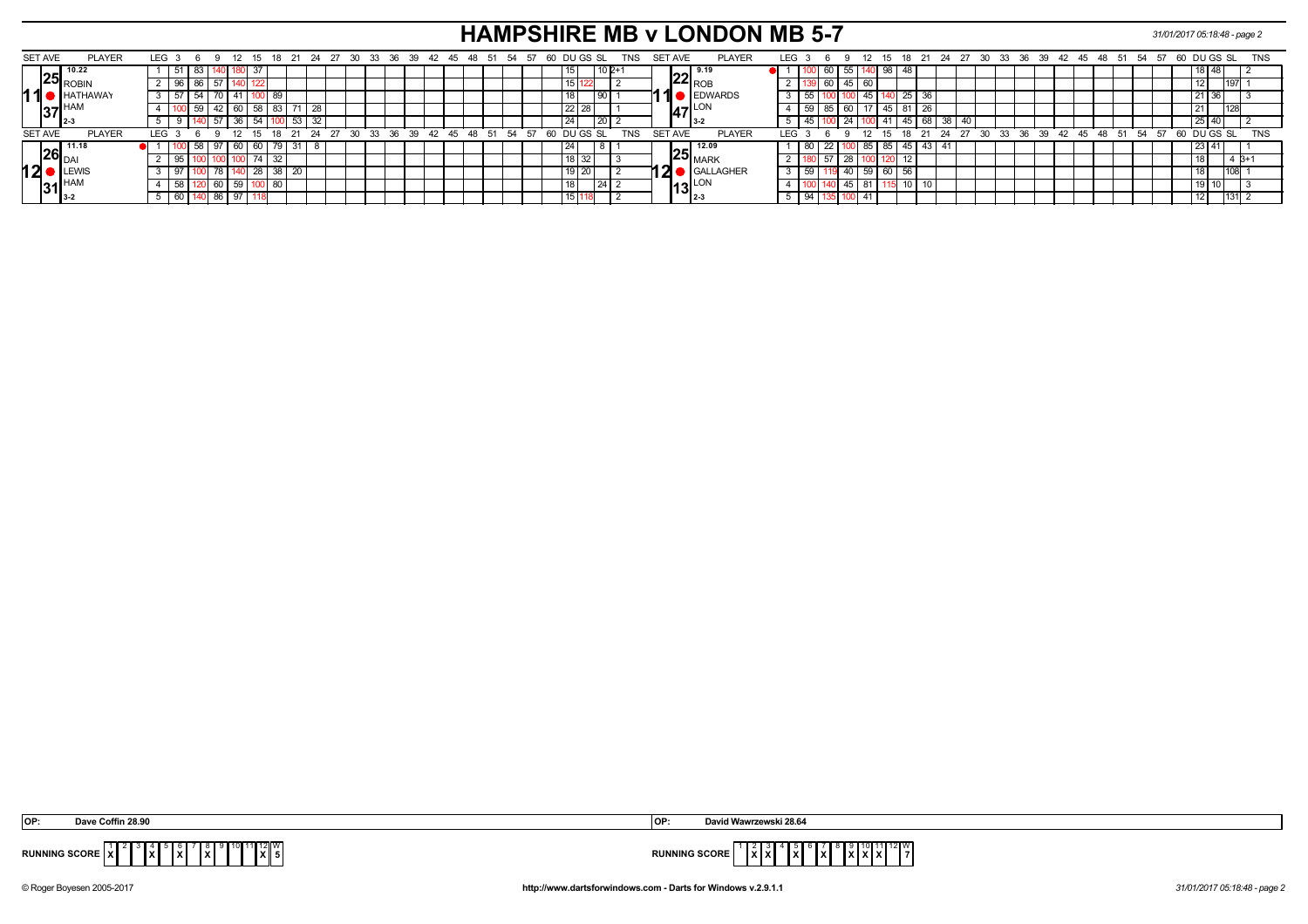# **HAMPSHIRE MB v LONDON MB 5-7** *31/01/2017 05:18:48 - page 2*

|                |                                                   |                  |     |    |              |        |    |               |    |                 |    |      |  |          |                |  |    |    |  |          |                   |        |            |         |                |                                  |                                   |     |      |    | ___  |    |        |     |                 |    |    |              |                        |  |  |                         |    |             |        |      |           |            |  |
|----------------|---------------------------------------------------|------------------|-----|----|--------------|--------|----|---------------|----|-----------------|----|------|--|----------|----------------|--|----|----|--|----------|-------------------|--------|------------|---------|----------------|----------------------------------|-----------------------------------|-----|------|----|------|----|--------|-----|-----------------|----|----|--------------|------------------------|--|--|-------------------------|----|-------------|--------|------|-----------|------------|--|
| <b>SET AVE</b> | <b>PLAYER</b>                                     | LEG <sub>3</sub> |     |    |              |        |    | 18            |    | 24              | 27 | - 30 |  | 33 36 39 | 42 45 48 51    |  |    |    |  |          | 54 57 60 DU GS SL |        | TNS        | SET AVE |                |                                  | <b>PLAYER</b>                     | LEG |      | -6 |      | 12 |        | 18  |                 |    |    | 24 27 30     |                        |  |  | 33 36 39 42 45 48 51 54 | 57 | 60 DU GS SL |        |      |           | <b>TNS</b> |  |
|                | 10.22                                             |                  |     |    |              | 180 37 |    |               |    |                 |    |      |  |          |                |  |    |    |  |          |                   | $10P+$ |            |         |                |                                  |                                   |     |      |    | 55   |    | 140 98 | -48 |                 |    |    |              |                        |  |  |                         |    |             |        |      |           |            |  |
|                | ' I25  <sub>ROBIN</sub>                           |                  |     |    |              |        |    |               |    |                 |    |      |  |          |                |  |    |    |  |          |                   |        |            |         |                | $22 \text{ }^{\frac{9.19}{ROB}}$ |                                   |     |      |    | 45   | 60 |        |     |                 |    |    |              |                        |  |  |                         |    |             |        | 1197 |           |            |  |
|                | <b>HATHAWAY</b>                                   |                  |     |    |              | 41     |    | - 89          |    |                 |    |      |  |          |                |  |    |    |  |          | l 90 I            |        |            |         |                |                                  | EDWARDS                           |     | 55   |    |      | 45 |        | 25  | 36              |    |    |              |                        |  |  |                         |    |             | 21 36  |      |           |            |  |
|                | $37$ <sup>HAM</sup>                               |                  |     |    |              | 60 I   | 58 | 83            | 71 | $\overline{28}$ |    |      |  |          |                |  |    |    |  | $22$ 28  |                   |        |            |         |                | 4-LON                            |                                   |     |      |    | 60 I |    | 145    | 81  | $\overline{26}$ |    |    |              |                        |  |  |                         |    |             |        | 1128 |           |            |  |
|                | ' I 2-3                                           |                  |     |    |              | 36     | 54 |               | 53 | 32              |    |      |  |          |                |  |    |    |  | 24       | 20                |        |            |         |                | $13-2$                           |                                   |     |      |    |      |    |        | 45. | 68              | 38 | 40 |              |                        |  |  |                         |    |             | 25 40  |      |           |            |  |
| <b>SET AVE</b> | <b>PLAYER</b>                                     | LEG :            |     |    |              |        |    | $15 \quad 18$ |    | 24              | 27 | ີ 30 |  | 33 36 39 | $42 \t45 \t48$ |  | 54 | 57 |  |          | 60 DU GS SL       |        | <b>TNS</b> |         | <b>SET AVE</b> |                                  | <b>PLAYER</b>                     | LEG |      |    |      | 12 |        |     | 15 18 21        | 24 | 27 | $30^{\circ}$ | $33 \quad 36 \quad 39$ |  |  | 42 45 48 51 54          | 57 | 60 DU GS SL |        |      |           | <b>TNS</b> |  |
|                | $26\overline{\smash{\big }^{11.18}_{\text{DAI}}}$ |                  |     | 58 | 97   60   60 |        |    | 79   31       |    |                 |    |      |  |          |                |  |    |    |  | 24       |                   |        |            |         |                | $-12.09$                         |                                   |     | 80 I |    |      | 85 | । ୪५   | 45  | 43              |    |    |              |                        |  |  |                         |    |             | 123141 |      |           |            |  |
|                |                                                   |                  |     |    |              |        | 74 | 32            |    |                 |    |      |  |          |                |  |    |    |  | 18<br>32 |                   |        |            |         |                |                                  | $\mathsf{125}\big _\mathsf{MARK}$ |     |      |    | 28   |    |        |     |                 |    |    |              |                        |  |  |                         |    |             |        |      | $B+$      |            |  |
| 12             | <b>ILEWIS</b>                                     |                  |     |    |              |        | 28 | 38            | 20 |                 |    |      |  |          |                |  |    |    |  |          |                   |        |            | 2       |                |                                  | GALLAGHER                         |     |      |    |      | 59 |        | 56  |                 |    |    |              |                        |  |  |                         |    |             |        | 1108 |           |            |  |
|                | $31_{3.2}^{HAN}$                                  |                  | OO. |    |              | 59     |    | o             |    |                 |    |      |  |          |                |  |    |    |  |          |                   |        |            |         |                | 13 $\frac{LON}{2.3}$             |                                   |     |      |    | 45   | 81 |        |     | 10              |    |    |              |                        |  |  |                         |    |             |        |      |           |            |  |
|                |                                                   |                  | 60  |    | $186$ 97     |        |    |               |    |                 |    |      |  |          |                |  |    |    |  |          |                   |        |            |         |                |                                  |                                   |     | 94   |    |      | 41 |        |     |                 |    |    |              |                        |  |  |                         |    |             |        |      | $ 131 $ 2 |            |  |

| המ<br>ישו | Dave Coffin 28.90                                                                        | <b>IOP</b>                                                                                                                              | David Wawrzewski 28.64                                                                                     |
|-----------|------------------------------------------------------------------------------------------|-----------------------------------------------------------------------------------------------------------------------------------------|------------------------------------------------------------------------------------------------------------|
|           | $9$ 10 11 12 W<br>JNNING SCORE $\ x\ $<br>IXI.<br>.<br>1 v 1<br>.<br>1 A I<br>1 A I<br>. | <b>RUNNING SCORE</b><br>the contract of the contract of the contract of the contract of the contract of the contract of the contract of | $9$ 10 11 12 W<br>$\ x\ x\ $<br>1 v I v I v<br>$\mathbf{I}$<br>-lxi<br>.<br> X X X <br>$\mathbf{L}$<br>. . |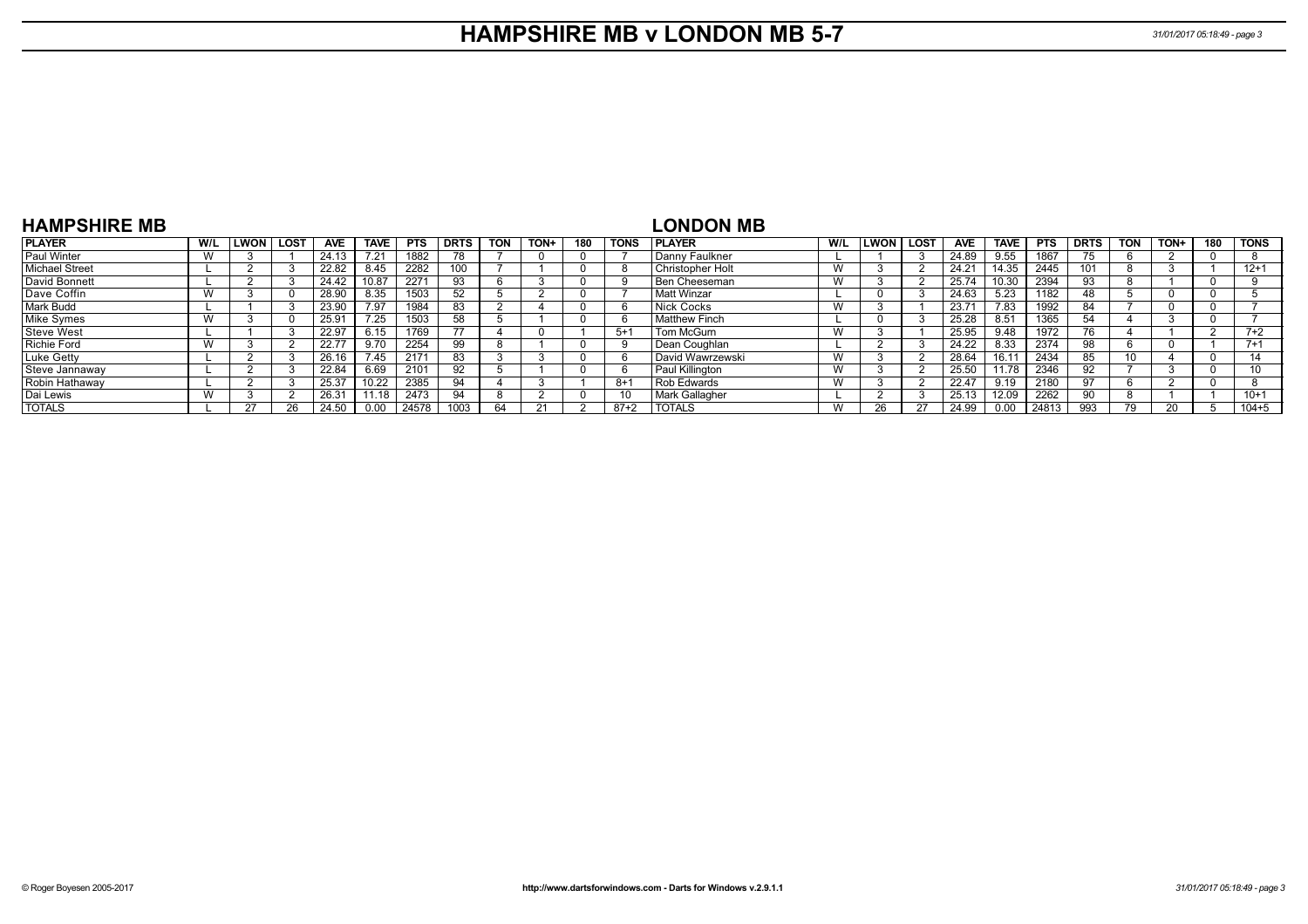### **HAMPSHIRE MB v LONDON MB 5-7** *31/01/2017 05:18:49 - page 3*

| <b>HAMPSHIRE MB</b> |     |             |            |             |            |             |     |      |     |         | <b>LONDON MB</b>     |     |        |        |            |             |            |             |            |      |          |             |
|---------------------|-----|-------------|------------|-------------|------------|-------------|-----|------|-----|---------|----------------------|-----|--------|--------|------------|-------------|------------|-------------|------------|------|----------|-------------|
| <b>PLAYER</b>       | W/L | LWON   LOST | <b>AVE</b> | <b>TAVE</b> | <b>PTS</b> | <b>DRTS</b> | TON | TON+ | 180 | TONS    | <b>IPLAYER</b>       | W/L | I LWON | i LOST | <b>AVE</b> | <b>TAVE</b> | <b>PTS</b> | <b>DRTS</b> | <b>TON</b> | TON+ | 180      | <b>TONS</b> |
| Paul Winter         | W   |             | 24.13      |             | 1882       |             |     |      |     |         | Danny Faulkner       |     |        |        | 24.89      | 9.55        | 1867       |             |            |      | $\Omega$ |             |
| Michael Street      |     |             | 22.82      | 8.45        | 2282       | 100         |     |      |     |         | Christopher Holt     | W   |        |        | 24.21      | 14.35       | 2445       | 101         |            |      |          | $12+1$      |
| David Bonnett       |     |             | 24.42      | 10.87       | 2271       | 93          |     |      |     |         | <b>Ben Cheeseman</b> | W   |        |        | 25.74      | 10.30       | 2394       | 93          |            |      | 0        |             |
| Dave Coffin         | W   |             | 28.90      | 8.35        | 1503       |             |     |      |     |         | l Matt Winzar        |     |        |        | 24.63      | 5.23        | 1182       | 48          |            |      |          |             |
| Mark Budd           |     |             | 23.90      | 7.97        | 1984       | 83          |     |      |     |         | Nick Cocks           | W   |        |        | 23.71      | 7.83        | 1992       | 84          |            |      | 0        |             |
| Mike Symes          | W   |             | 25.91      | 7.25        | 1503       | 58          |     |      |     | n       | Matthew Finch        |     |        |        | 25.28      | 8.51        | 1365       | 54          |            |      | $\Omega$ |             |
| Steve West          |     |             | 22.97      | 6.15        | 1769       |             |     |      |     | $5 + 1$ | Tom McGurn           | W   |        |        | 25.95      | 9.48        | 1972       |             |            |      | - 2      | $7 + 2$     |
| Richie Ford         | W   |             | 22.77      | 9.70        | 2254       | 99          |     |      |     |         | Dean Coughlan        |     |        |        | 24.22      | 8.33        | 2374       | 98          |            |      |          | $7 + 1$     |
| Luke Getty          |     |             | 26.16      | 7.45        | 2171       | 83          |     |      |     |         | David Wawrzewski     | W   |        |        | 28.64      | 16.11       | 2434       | 85          | 10         |      | $\Omega$ |             |
| Steve Jannaway      |     |             | 22.84      | 6.69        | 2101       | 92          |     |      |     |         | Paul Killington      | W   |        |        | 25.50      | 11.78       | 2346       | 92          |            |      |          |             |
| Robin Hathaway      |     |             | 25.37      | 10.22       | 2385       | 94          |     |      |     | $8 + 1$ | Rob Edwards          | W   |        |        | 22.47      | 9.19        | 2180       | 97          |            |      | $\Omega$ |             |
| Dai Lewis           | W   |             | 26.31      | 11.18       | 2473       | 94          |     |      |     | 10      | Mark Gallagher       |     |        |        | 25.13      | 12.09       | 2262       | 90          |            |      |          | $10+1$      |
| <b>TOTALS</b>       |     |             | 24.50      | 0.00        | 24578      | 1003        | 64  |      |     | $87+2$  | <b>TOTALS</b>        | W   |        |        | 24.99      | 0.00        | 24813      | 993         |            |      |          | $104 + 5$   |

#### **HAMPSHIRE MB**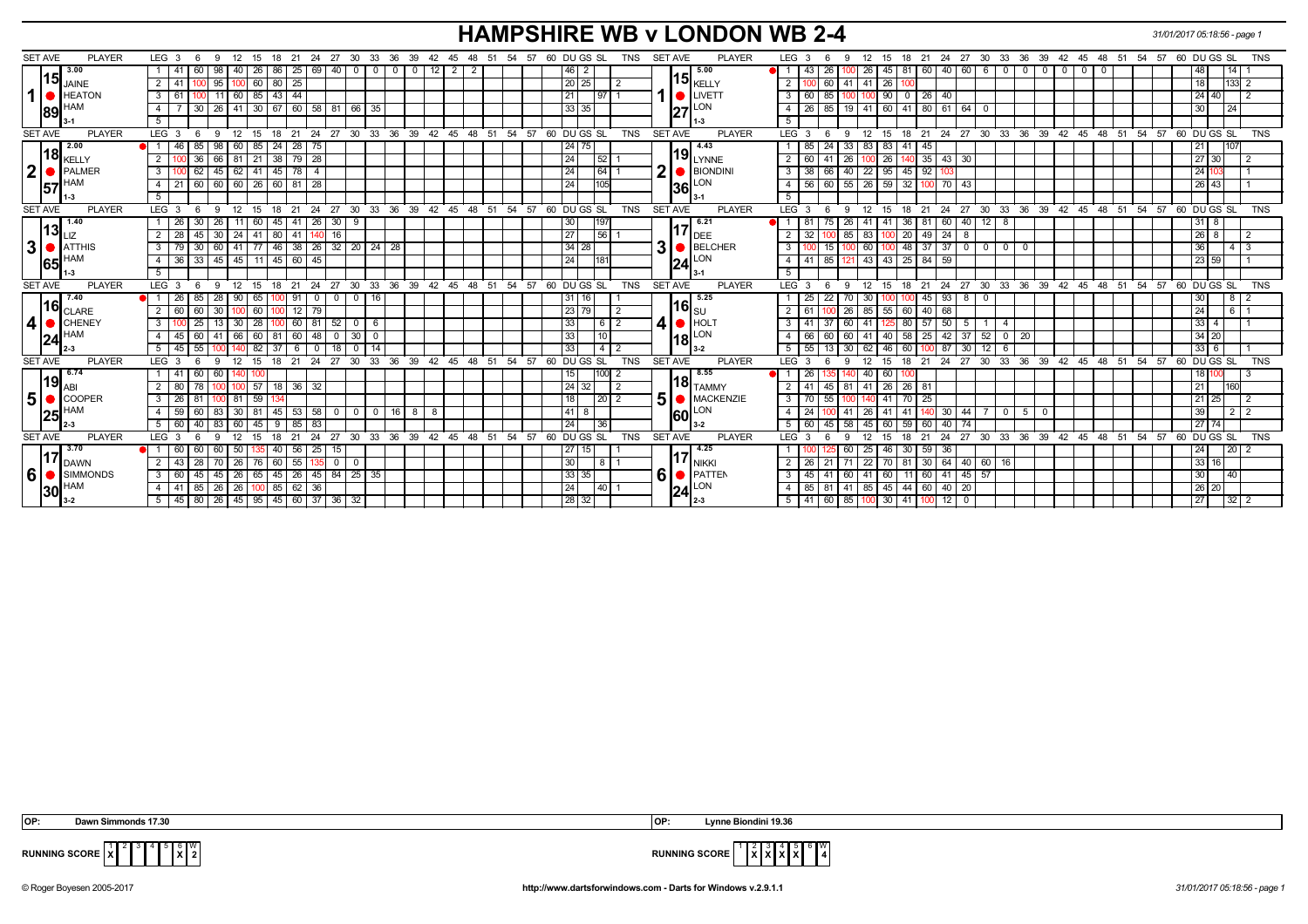# **HAMPSHIRE WB v LONDON WB 2-4** *31/01/2017 05:18:56 - page 1*

| <b>SET AVE</b><br><b>PLAYER</b>         | LEG 3<br>12<br>-6                              | 18                     | 24<br>-21                                  | 27                             | 30 33 36                      |                                    |                |                         | 54 57    | 60 DU GS SL           | <b>TNS</b>      |   | <b>PLAYER</b><br>SET AVE                | LEG <sub>3</sub> |                                    |           | 12             |                   | 21 24                 |                                        |              |                    |                               |       |    |             |    | 27 30 33 36 39 42 45 48 51 54 57 60 DU GS SL         |                 |          | <b>TNS</b>  |
|-----------------------------------------|------------------------------------------------|------------------------|--------------------------------------------|--------------------------------|-------------------------------|------------------------------------|----------------|-------------------------|----------|-----------------------|-----------------|---|-----------------------------------------|------------------|------------------------------------|-----------|----------------|-------------------|-----------------------|----------------------------------------|--------------|--------------------|-------------------------------|-------|----|-------------|----|------------------------------------------------------|-----------------|----------|-------------|
| 3.00                                    | - 9<br>60<br>98<br>40 l                        | 15<br>26<br>86         | 25<br>69                                   | 40 <br>$0$   0                 | $\circ$ 1                     | 39  42  45<br>12<br>$\overline{0}$ | $\overline{2}$ | 48 51<br>$\overline{2}$ |          | 46<br>$\overline{2}$  |                 |   | 15.00                                   |                  | 43                                 | 9<br>26   | 26             | 15<br>81<br>45    | 18<br>60              | $40 \ 60 \ 6$                          |              | $\overline{\circ}$ | $\mathbf 0$<br>$\overline{0}$ | $0$ 0 |    | 0           |    |                                                      | 48              | 14       |             |
| 15 <br><b>JAINE</b>                     | $\overline{2}$<br>95                           | 60<br>80               | 25                                         |                                |                               |                                    |                |                         |          | 20 25                 |                 |   | 15 <sub>KELLY</sub>                     | $\overline{2}$   |                                    | 41<br>60  | 41             | 26                |                       |                                        |              |                    |                               |       |    |             |    |                                                      | 18              | 133 2    |             |
| 1 <sup>1</sup><br><b>HEATON</b>         | 3<br>11 I                                      | 60   85<br> 43         | 44                                         |                                |                               |                                    |                |                         |          | 21                    | 97              |   | LIVETT                                  | 3                | 60                                 | 85        |                | 90<br>$\mathbf 0$ | 26 <sup>1</sup>       | 40                                     |              |                    |                               |       |    |             |    |                                                      | 24 40           |          |             |
| HAM                                     | 30<br>4                                        |                        | 26   41   30   67   60   58   81   66   35 |                                |                               |                                    |                |                         |          | 33 35                 |                 |   | <b>LON</b>                              | $\overline{4}$   | 26                                 | 85        |                |                   |                       | 19 41 60 41 80 61 64 0                 |              |                    |                               |       |    |             |    |                                                      | 30              | 24       |             |
| 89                                      | 5                                              |                        |                                            |                                |                               |                                    |                |                         |          |                       |                 |   | 27<br>11-3                              | 5                |                                    |           |                |                   |                       |                                        |              |                    |                               |       |    |             |    |                                                      |                 |          |             |
| <b>SET AVE</b><br><b>PLAYER</b>         | LEG <sub>3</sub><br>9<br>12<br>-6              | 15                     | 18 21 24 27 30 33 36 39 42 45 48 51        |                                |                               |                                    |                |                         | 54 57    | 60 DUGS SL            | <b>TNS</b>      |   | <b>SET AVE</b><br><b>PLAYER</b>         | $LEG \ 3$        |                                    | 9         | 12             | 15<br>18          |                       | 21 24 27 30 33 36 39 42 45 48 51 54 57 |              |                    |                               |       |    |             |    |                                                      | 60 DU GS SL     |          | <b>TNS</b>  |
| 2.00                                    | 46<br>85<br>98<br>60 I<br>$\bullet$ 1 i        | 24<br>85               | 28 75                                      |                                |                               |                                    |                |                         |          | 24 75                 |                 |   | 4.43                                    |                  | 85                                 | 33<br>24  | 1831           | 83                | 45<br>41              |                                        |              |                    |                               |       |    |             |    |                                                      | 21              |          |             |
| l18l<br>KELLY                           | 36<br>2<br>66 T                                | $81$   21<br> 38       | 79 28                                      |                                |                               |                                    |                |                         |          | 24<br>52              |                 |   | $\mathbf{19}_{\mathsf{LYNNE}}$          | 2                | 60                                 | 26        |                | 26                | $140$ 35              | $43 \mid 30$                           |              |                    |                               |       |    |             |    |                                                      | 27 30           |          |             |
| 2 <sup>2</sup><br>PALMER                | 3 <sup>1</sup><br>62<br>45                     | $62 \mid 41$<br> 45    | 78<br>$\overline{4}$                       |                                |                               |                                    |                |                         |          | 24                    | 64              | 2 | $\blacksquare$ BIONDINI                 | 3                | -38                                | 40<br>66  | $\sqrt{22}$    | 95                | $45$ 92               |                                        |              |                    |                               |       |    |             |    |                                                      | 24              |          |             |
| HAM                                     | 60 60 60 26 60 81 28<br>4<br>21                |                        |                                            |                                |                               |                                    |                |                         |          | 24                    | 105             |   | $ 36 ^{LON}$                            | $\overline{4}$   | 56                                 | 60        | $55$   26   59 |                   |                       | 32 100 70 43                           |              |                    |                               |       |    |             |    |                                                      | 26 43           |          |             |
| 57<br>1-3                               | 5 <sup>7</sup>                                 |                        |                                            |                                |                               |                                    |                |                         |          |                       |                 |   | l 3-1                                   | $\overline{5}$   |                                    |           |                |                   |                       |                                        |              |                    |                               |       |    |             |    |                                                      |                 |          |             |
| <b>SET AVE</b><br><b>PLAYER</b>         | LEG <sub>3</sub><br>- 9<br>12<br>-6            | 15                     | 18 21<br>24                                | 27                             | 30 33 36 39 42 45 48 51       |                                    |                |                         | 54 57    | 60 DU GS SL           | <b>TNS</b>      |   | <b>SET AVE</b><br><b>PLAYER</b>         | $LEG^3$ 3        |                                    | 9<br>- 6  | 12             | 15<br>18          | $21 \quad 24$         |                                        |              |                    |                               |       |    |             |    | 27 30 33 36 39 42 45 48 51 54 57 60 DUGS SL          |                 |          | <b>TNS</b>  |
| 1.40                                    | <b>26</b><br>30<br>$\overline{26}$             | $11$   60<br> 45       | $41 \mid 26 \mid$                          | 30  <br>9                      |                               |                                    |                |                         |          | 30<br>197             |                 |   | 6.21                                    |                  | -81                                | 26        | -41            |                   | 36<br>81              | 40<br>60 I                             | 12           | 8                  |                               |       |    |             |    |                                                      | 31 8            |          |             |
| 13 <br>LIZ                              | 2 <sup>1</sup><br>28 <sup>1</sup><br>45<br> 30 | $24$ 41                | 80 41<br>140                               | 16                             |                               |                                    |                |                         |          | 56<br>27              |                 |   | 117<br>DEE                              | 2                | 32                                 | 85        | 83             |                   | 20<br>49              | $\overline{24}$<br>-8                  |              |                    |                               |       |    |             |    |                                                      | 26              | 8        |             |
| $\mathbf{3}$<br><b>ATTHIS</b>           | 3 <sup>1</sup><br>79 I<br>30<br>60             | $41$ 77                | 46 38 26 32 20 24                          |                                | 28                            |                                    |                |                         |          | $34 28$               |                 | 3 | BELCHER                                 | 3                |                                    | 15        | $\sqrt{60}$    |                   |                       | 48 37 37 0                             |              | 0 0 0              |                               |       |    |             |    |                                                      | 36              |          | 4 3         |
| <b>HAM</b><br>65                        | 33<br>  45  <br>4<br>36 <sup>1</sup>           | 45   11   45   60   45 |                                            |                                |                               |                                    |                |                         |          | 24<br>18 <sup>′</sup> |                 |   | LON<br>24                               | 4                | -41                                | 85<br>121 | 43 43          |                   | $25 \mid 84 \mid$     | 59                                     |              |                    |                               |       |    |             |    |                                                      | 23 59           |          |             |
|                                         | 5                                              |                        |                                            |                                |                               |                                    |                |                         |          |                       |                 |   |                                         | 5                |                                    |           |                |                   |                       |                                        |              |                    |                               |       |    |             |    |                                                      |                 |          |             |
| <b>SET AVE</b><br><b>PLAYER</b>         | LEG 3<br>12<br>6<br>-9                         | $^{\circ}$ 15          | 18 21                                      |                                | 24 27 30 33 36 39 42 45 48 51 |                                    |                |                         | 54 57    | 60 DUGS SL            | TNS             |   | SET AVE<br><b>PLAYER</b>                | LEG <sub>3</sub> |                                    | -6<br>9   | 12             | 15                |                       |                                        |              |                    |                               |       |    |             |    | 18 21 24 27 30 33 36 39 42 45 48 51 54 57 60 DUGS SL |                 |          | <b>TNS</b>  |
| 7.40                                    | 90 <sub>1</sub><br>26 <sup>1</sup><br>85<br>28 | 65                     | 91<br>$\mathbf 0$                          | $0$ 16<br>0 <sub>1</sub>       |                               |                                    |                |                         |          | 31 16                 |                 |   | 5.25                                    |                  | -25                                | 22<br>70  | - 30           |                   | 45<br>1UU             | $93 \mid 8$                            | $\mathbf{0}$ |                    |                               |       |    |             |    |                                                      | 30 <sub>1</sub> |          | 812         |
| $\left  16 \right _\text{CLARE}$        | $\overline{2}$<br>60<br>30<br>60               | 60                     | 12 79                                      |                                |                               |                                    |                |                         |          | 23 79                 |                 |   | 116  <sub>s∪</sub>                      | 2                | -61                                | 26        | 85             | 55                | 40 <sup>1</sup><br>60 | 68                                     |              |                    |                               |       |    |             |    |                                                      | 24              | 6 I 1    |             |
| $\vert$<br>CHENEY                       | $\mathbf{3}$<br>25<br>30 <sup>1</sup>          | 28                     | 60 81                                      | 52<br>$\circ$ 1                | -6                            |                                    |                |                         |          | 33                    | 6               | 4 | $\bullet$ HOL                           | 3                | 41                                 | 60<br>37  | 41             |                   | 80<br>57              | 50<br>5                                |              |                    |                               |       |    |             |    |                                                      | 33              |          |             |
| <b>HAM</b><br> 24                       | 60<br>45<br>41<br>66<br>4                      | 60<br>81               | 48<br>60                                   | 30 <sup>1</sup><br>- 0         | $\mathbf{0}$                  |                                    |                |                         |          | 33                    | 10              |   | LON<br> 18                              | $\overline{a}$   | 66                                 | 60<br>60  | 41             | 40                | 58<br>25              | 42<br>37                               | 52           | 0 <sup>1</sup>     | 20                            |       |    |             |    |                                                      | 34 20           |          |             |
|                                         | 55<br>45<br>5                                  | 82<br>-37              |                                            |                                | 14                            |                                    |                |                         |          | 33                    | 4 <sup>1</sup>  |   | $3-2$                                   | 5                | -55                                | 30        | 62             | 46.               |                       | 30                                     | 12           | -6                 |                               |       |    |             |    |                                                      | 336             |          |             |
| <b>SET AVE</b><br><b>PLAYER</b>         | LEG <sup>3</sup>                               |                        | 24                                         | 30<br>27                       | 33<br>36                      | 39                                 | $42 \quad 45$  | $48$ 51                 | 54<br>57 | 60 DU GS SL           | <b>TNS</b>      |   | <b>SET AVE</b><br><b>PLAYER</b>         | <b>LEG</b>       |                                    |           |                |                   | 21                    | 24<br>27                               | 30           | 33                 | 36<br>39                      |       |    | 42 45 48 51 | 54 | 57                                                   | 60 DU GS SL     |          | <b>TNS</b>  |
| 6.74<br>l19l                            |                                                |                        |                                            |                                |                               |                                    |                |                         |          |                       | 100             |   | 8.55                                    |                  |                                    |           |                |                   |                       |                                        |              |                    |                               |       |    |             |    |                                                      | 18 <sup>1</sup> |          |             |
| ABI                                     | 2 <sup>1</sup><br>80                           | 57                     | 36<br>32                                   |                                |                               |                                    |                |                         |          | 24 32                 |                 |   | $\textbf{18}_{\textsf{TAMMY}}$          | $\overline{2}$   | -41                                | 45<br>81  | 41             | 26                | 26 81                 |                                        |              |                    |                               |       |    |             |    |                                                      | 21              | 60       |             |
| 5 <sup>1</sup><br>COOPER                | $\mathbf{3}$<br>26                             | 59                     |                                            |                                |                               |                                    |                |                         |          | 18                    | 20 <sub>1</sub> | 5 | MACKENZIE                               | 3                |                                    | 55        |                |                   | -25                   |                                        |              |                    |                               |       |    |             |    |                                                      | 21              | 25       |             |
| 25                                      | 59<br>30 <sup>1</sup>                          | 45                     | 53<br>58                                   | $\overline{0}$<br>$\mathbf{O}$ | $\overline{0}$<br>16 I        | 8                                  |                |                         |          | 41<br>8               |                 |   | LON<br><b>60</b>                        | $\overline{4}$   |                                    |           | 26             |                   |                       | 30<br>44                               |              | $\mathbf{0}$       | 5                             |       |    |             |    |                                                      | 39              |          | $2\sqrt{2}$ |
|                                         | 5<br>60<br>40<br>83<br>60                      | 45                     | 85<br>83                                   |                                |                               |                                    |                |                         |          | 36<br>24              |                 |   | 3-2                                     | $5\overline{)}$  | -60                                | 58<br>45  | 45             |                   | 59<br>60              | 40 I<br>74                             |              |                    |                               |       |    |             |    |                                                      | 27              |          |             |
| <b>SET AVE</b><br><b>PLAYER</b><br>3.70 | LEG <sub>3</sub>                               | 18<br>15               | 24                                         | 30<br>27                       | 33<br>36                      | 39<br>42                           | 45<br>48       | 51                      | 54<br>57 | 60 DU GS SL           | <b>TNS</b>      |   | <b>SET AVE</b><br><b>PLAYER</b><br>4.25 | LEG <sup>®</sup> |                                    |           |                |                   |                       | 27                                     | 30           | 33                 | 36<br>39                      | 42    | 45 | 48<br>51    | 54 | 57                                                   | 60 DU GS SL     |          | <b>TNS</b>  |
|                                         | 50<br>60                                       | 40                     | 25<br>56                                   |                                |                               |                                    |                |                         |          | 27<br>15              |                 |   | 117                                     |                  |                                    |           | 25             | 30                | 59                    | 36                                     |              |                    |                               |       |    |             |    |                                                      | 24 <sub>l</sub> | 20 2     |             |
| <b>DAWN</b><br>SIMMONDS                 | $\overline{2}$<br>28<br>26<br>43 <sup>1</sup>  | 60<br>76               | 55                                         | $^{\circ}$                     |                               |                                    |                |                         |          | 30                    | 8               |   | <b>NIKKI</b>                            | $\overline{2}$   | 26                                 | 21        | 22             | 81<br>70          | 30                    | $64$ 40                                | 60 16        |                    |                               |       |    |             |    |                                                      | 33              |          |             |
| 6 <sup>1</sup><br>HAM                   | $26 \mid$<br>3<br>60 l<br>45<br>45 I           | 65                     | 45   26   45   84   25   35                |                                |                               |                                    |                |                         |          | 33 35                 |                 | 6 | $\bullet$ PATTEN<br>LON                 | 3                | 45                                 | 60        | -41            | 60 I              | $11 \mid 60 \mid$     | 41 45 57                               |              |                    |                               |       |    |             |    |                                                      | 30 <sub>1</sub> | 40       |             |
| 30 <br>$3 - 2$                          | 85<br> 26 <br>$26 \mid$<br>4<br>41             |                        | 100 85 62 36                               |                                |                               |                                    |                |                         |          | 24                    | 40              |   | $ 24 _{2^{-3}}$                         | $\overline{4}$   | 85                                 | 41<br>-81 | 85             |                   |                       | 45 44 60 40 20                         |              |                    |                               |       |    |             |    |                                                      | 26 20           |          |             |
|                                         | 5 45 80 26 45 95 45 60 37 36 32                |                        |                                            |                                |                               |                                    |                |                         |          | 28 32                 |                 |   |                                         |                  | $5$   41   60   85   100   30   41 |           |                |                   | 1100                  | $12$ 0                                 |              |                    |                               |       |    |             |    |                                                      | 27              | $32$   2 |             |

2 3 4 5 6 **X**  $\mathbf{I}$ 



**RUNNING SCORE**  $\begin{bmatrix} 1 \\ X \end{bmatrix}$